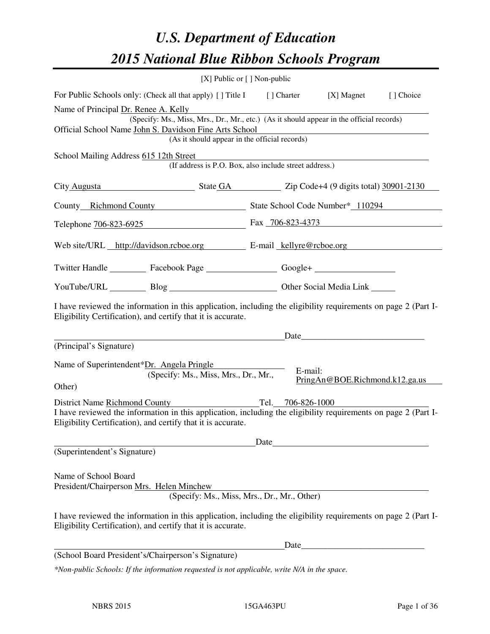# *U.S. Department of Education 2015 National Blue Ribbon Schools Program*

|                                                                                                                                                                                | [X] Public or $[$ ] Non-public                               |         |                                |            |  |  |  |
|--------------------------------------------------------------------------------------------------------------------------------------------------------------------------------|--------------------------------------------------------------|---------|--------------------------------|------------|--|--|--|
| For Public Schools only: (Check all that apply) [] Title I [] Charter                                                                                                          |                                                              |         | [X] Magnet                     | [ ] Choice |  |  |  |
| Name of Principal Dr. Renee A. Kelly                                                                                                                                           |                                                              |         |                                |            |  |  |  |
| (Specify: Ms., Miss, Mrs., Dr., Mr., etc.) (As it should appear in the official records)<br>Official School Name John S. Davidson Fine Arts School                             |                                                              |         |                                |            |  |  |  |
|                                                                                                                                                                                | (As it should appear in the official records)                |         |                                |            |  |  |  |
| School Mailing Address 615 12th Street                                                                                                                                         |                                                              |         |                                |            |  |  |  |
|                                                                                                                                                                                | (If address is P.O. Box, also include street address.)       |         |                                |            |  |  |  |
|                                                                                                                                                                                | City Augusta State GA Zip Code+4 (9 digits total) 30901-2130 |         |                                |            |  |  |  |
| County Richmond County State School Code Number* 110294                                                                                                                        |                                                              |         |                                |            |  |  |  |
| Telephone 706-823-6925 Fax 706-823-4373                                                                                                                                        |                                                              |         |                                |            |  |  |  |
| Web site/URL http://davidson.rcboe.org E-mail kellyre@rcboe.org                                                                                                                |                                                              |         |                                |            |  |  |  |
| Twitter Handle ___________ Facebook Page ____________________ Google+ ___________                                                                                              |                                                              |         |                                |            |  |  |  |
| YouTube/URL Blog Blog Cher Social Media Link                                                                                                                                   |                                                              |         |                                |            |  |  |  |
| I have reviewed the information in this application, including the eligibility requirements on page 2 (Part I-<br>Eligibility Certification), and certify that it is accurate. |                                                              |         |                                |            |  |  |  |
|                                                                                                                                                                                |                                                              |         | Date                           |            |  |  |  |
| (Principal's Signature)                                                                                                                                                        |                                                              |         |                                |            |  |  |  |
| Name of Superintendent*Dr. Angela Pringle                                                                                                                                      |                                                              |         |                                |            |  |  |  |
|                                                                                                                                                                                | (Specify: Ms., Miss, Mrs., Dr., Mr.,                         | E-mail: |                                |            |  |  |  |
| Other)                                                                                                                                                                         |                                                              |         | PringAn@BOE.Richmond.k12.ga.us |            |  |  |  |
|                                                                                                                                                                                | District Name Richmond County<br>Tel. 706-826-1000           |         |                                |            |  |  |  |
| I have reviewed the information in this application, including the eligibility requirements on page 2 (Part I-<br>Eligibility Certification), and certify that it is accurate. |                                                              |         |                                |            |  |  |  |
|                                                                                                                                                                                |                                                              |         |                                |            |  |  |  |
| (Superintendent's Signature)                                                                                                                                                   |                                                              |         |                                |            |  |  |  |
| Name of School Board                                                                                                                                                           |                                                              |         |                                |            |  |  |  |
| President/Chairperson Mrs. Helen Minchew                                                                                                                                       | (Specify: Ms., Miss, Mrs., Dr., Mr., Other)                  |         |                                |            |  |  |  |
|                                                                                                                                                                                |                                                              |         |                                |            |  |  |  |
| I have reviewed the information in this application, including the eligibility requirements on page 2 (Part I-<br>Eligibility Certification), and certify that it is accurate. |                                                              |         |                                |            |  |  |  |
|                                                                                                                                                                                |                                                              |         |                                |            |  |  |  |
| (School Board President's/Chairperson's Signature)                                                                                                                             |                                                              |         |                                |            |  |  |  |
|                                                                                                                                                                                |                                                              |         |                                |            |  |  |  |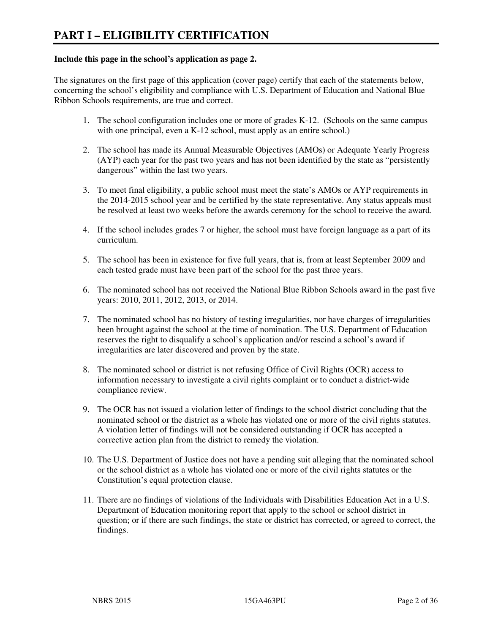#### **Include this page in the school's application as page 2.**

The signatures on the first page of this application (cover page) certify that each of the statements below, concerning the school's eligibility and compliance with U.S. Department of Education and National Blue Ribbon Schools requirements, are true and correct.

- 1. The school configuration includes one or more of grades K-12. (Schools on the same campus with one principal, even a K-12 school, must apply as an entire school.)
- 2. The school has made its Annual Measurable Objectives (AMOs) or Adequate Yearly Progress (AYP) each year for the past two years and has not been identified by the state as "persistently dangerous" within the last two years.
- 3. To meet final eligibility, a public school must meet the state's AMOs or AYP requirements in the 2014-2015 school year and be certified by the state representative. Any status appeals must be resolved at least two weeks before the awards ceremony for the school to receive the award.
- 4. If the school includes grades 7 or higher, the school must have foreign language as a part of its curriculum.
- 5. The school has been in existence for five full years, that is, from at least September 2009 and each tested grade must have been part of the school for the past three years.
- 6. The nominated school has not received the National Blue Ribbon Schools award in the past five years: 2010, 2011, 2012, 2013, or 2014.
- 7. The nominated school has no history of testing irregularities, nor have charges of irregularities been brought against the school at the time of nomination. The U.S. Department of Education reserves the right to disqualify a school's application and/or rescind a school's award if irregularities are later discovered and proven by the state.
- 8. The nominated school or district is not refusing Office of Civil Rights (OCR) access to information necessary to investigate a civil rights complaint or to conduct a district-wide compliance review.
- 9. The OCR has not issued a violation letter of findings to the school district concluding that the nominated school or the district as a whole has violated one or more of the civil rights statutes. A violation letter of findings will not be considered outstanding if OCR has accepted a corrective action plan from the district to remedy the violation.
- 10. The U.S. Department of Justice does not have a pending suit alleging that the nominated school or the school district as a whole has violated one or more of the civil rights statutes or the Constitution's equal protection clause.
- 11. There are no findings of violations of the Individuals with Disabilities Education Act in a U.S. Department of Education monitoring report that apply to the school or school district in question; or if there are such findings, the state or district has corrected, or agreed to correct, the findings.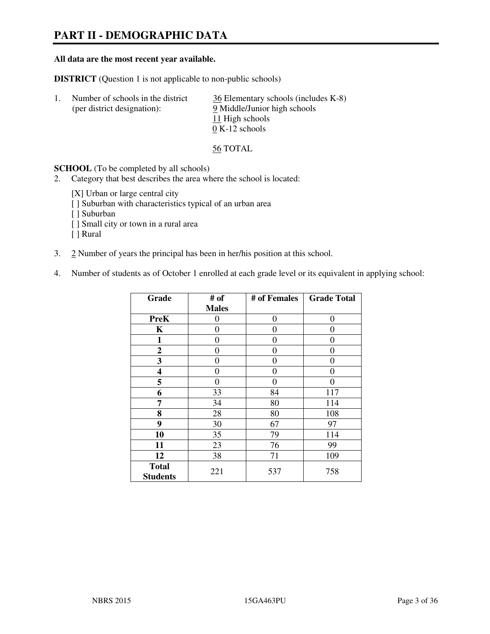# **PART II - DEMOGRAPHIC DATA**

#### **All data are the most recent year available.**

**DISTRICT** (Question 1 is not applicable to non-public schools)

| Number of schools in the district<br>(per district designation): | 36 Elementary schools (includes K-8)<br>9 Middle/Junior high schools<br>11 High schools |
|------------------------------------------------------------------|-----------------------------------------------------------------------------------------|
|                                                                  |                                                                                         |
|                                                                  | $0 K-12$ schools                                                                        |

56 TOTAL

**SCHOOL** (To be completed by all schools)

- 2. Category that best describes the area where the school is located:
	- [X] Urban or large central city
	- [ ] Suburban with characteristics typical of an urban area
	- [ ] Suburban
	- [ ] Small city or town in a rural area
	- [ ] Rural
- 3. 2 Number of years the principal has been in her/his position at this school.
- 4. Number of students as of October 1 enrolled at each grade level or its equivalent in applying school:

| Grade                           | # of         | # of Females | <b>Grade Total</b> |
|---------------------------------|--------------|--------------|--------------------|
|                                 | <b>Males</b> |              |                    |
| <b>PreK</b>                     | 0            | $\theta$     | $\boldsymbol{0}$   |
| K                               | 0            | 0            | $\theta$           |
| 1                               | 0            | 0            | 0                  |
| $\mathbf{2}$                    | 0            | 0            | 0                  |
| 3                               | 0            | 0            | 0                  |
| 4                               | 0            | 0            | 0                  |
| 5                               | 0            | 0            | $\theta$           |
| 6                               | 33           | 84           | 117                |
| 7                               | 34           | 80           | 114                |
| 8                               | 28           | 80           | 108                |
| 9                               | 30           | 67           | 97                 |
| 10                              | 35           | 79           | 114                |
| 11                              | 23           | 76           | 99                 |
| 12                              | 38           | 71           | 109                |
| <b>Total</b><br><b>Students</b> | 221          | 537          | 758                |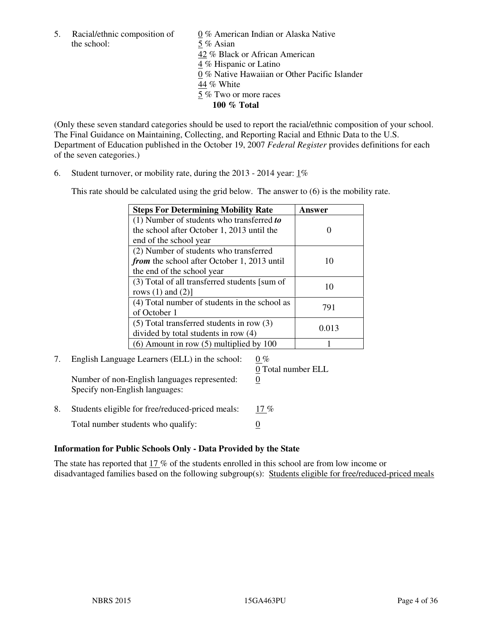the school: 5 % Asian

5. Racial/ethnic composition of  $0\%$  American Indian or Alaska Native 42 % Black or African American 4 % Hispanic or Latino 0 % Native Hawaiian or Other Pacific Islander 44 % White 5 % Two or more races **100 % Total** 

(Only these seven standard categories should be used to report the racial/ethnic composition of your school. The Final Guidance on Maintaining, Collecting, and Reporting Racial and Ethnic Data to the U.S. Department of Education published in the October 19, 2007 *Federal Register* provides definitions for each of the seven categories.)

6. Student turnover, or mobility rate, during the 2013 - 2014 year: 1%

This rate should be calculated using the grid below. The answer to (6) is the mobility rate.

| <b>Steps For Determining Mobility Rate</b>    | Answer |
|-----------------------------------------------|--------|
| $(1)$ Number of students who transferred to   |        |
| the school after October 1, 2013 until the    |        |
| end of the school year                        |        |
| (2) Number of students who transferred        |        |
| from the school after October 1, 2013 until   | 10     |
| the end of the school year                    |        |
| (3) Total of all transferred students [sum of | 10     |
| rows $(1)$ and $(2)$ ]                        |        |
| (4) Total number of students in the school as | 791    |
| of October 1                                  |        |
| $(5)$ Total transferred students in row $(3)$ | 0.013  |
| divided by total students in row (4)          |        |
| $(6)$ Amount in row $(5)$ multiplied by 100   |        |

# 7. English Language Learners (ELL) in the school:  $0\%$

Number of non-English languages represented: 0 Specify non-English languages:

0 Total number ELL

8. Students eligible for free/reduced-priced meals: 17 % Total number students who qualify:  $\qquad \qquad \frac{0}{0}$ 

#### **Information for Public Schools Only - Data Provided by the State**

The state has reported that  $17\%$  of the students enrolled in this school are from low income or disadvantaged families based on the following subgroup(s): Students eligible for free/reduced-priced meals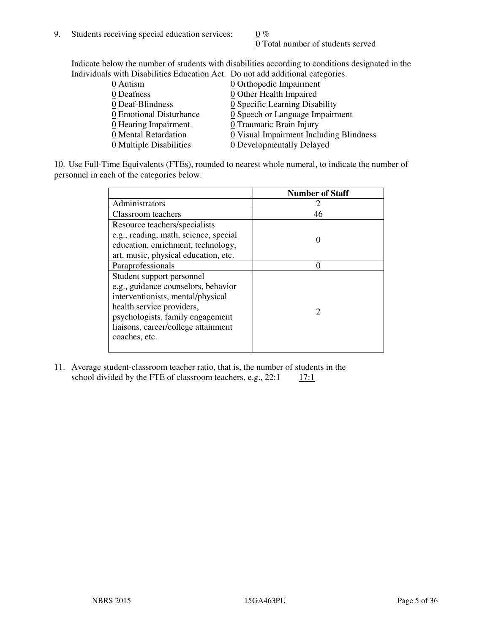0 Total number of students served

Indicate below the number of students with disabilities according to conditions designated in the Individuals with Disabilities Education Act. Do not add additional categories.

| THE LEW CONSTRUCTION OF THE CONSTRUCTION OF THE CONSTRUCTION OF A LOCAL CONSTRUCTION OF A CONSTRUCTION OF THE CONSTRUCTION OF THE CONSTRUCTION OF THE CONSTRUCTION OF THE CONSTRUCTION OF THE CONSTRUCTION OF THE CONSTRUCTIO |                                               |
|-------------------------------------------------------------------------------------------------------------------------------------------------------------------------------------------------------------------------------|-----------------------------------------------|
| 0 Autism                                                                                                                                                                                                                      | $\underline{0}$ Orthopedic Impairment         |
| 0 Deafness                                                                                                                                                                                                                    | 0 Other Health Impaired                       |
| 0 Deaf-Blindness                                                                                                                                                                                                              | 0 Specific Learning Disability                |
| 0 Emotional Disturbance                                                                                                                                                                                                       | $\underline{0}$ Speech or Language Impairment |
| $\underline{0}$ Hearing Impairment                                                                                                                                                                                            | 0 Traumatic Brain Injury                      |
| 0 Mental Retardation                                                                                                                                                                                                          | 0 Visual Impairment Including Blindness       |
| 0 Multiple Disabilities                                                                                                                                                                                                       | 0 Developmentally Delayed                     |
|                                                                                                                                                                                                                               |                                               |

10. Use Full-Time Equivalents (FTEs), rounded to nearest whole numeral, to indicate the number of personnel in each of the categories below:

|                                       | <b>Number of Staff</b> |
|---------------------------------------|------------------------|
| Administrators                        |                        |
| Classroom teachers                    | 46                     |
| Resource teachers/specialists         |                        |
| e.g., reading, math, science, special |                        |
| education, enrichment, technology,    |                        |
| art, music, physical education, etc.  |                        |
| Paraprofessionals                     |                        |
| Student support personnel             |                        |
| e.g., guidance counselors, behavior   |                        |
| interventionists, mental/physical     |                        |
| health service providers,             | $\mathcal{D}$          |
| psychologists, family engagement      |                        |
| liaisons, career/college attainment   |                        |
| coaches, etc.                         |                        |
|                                       |                        |

11. Average student-classroom teacher ratio, that is, the number of students in the school divided by the FTE of classroom teachers, e.g.,  $22:1$  17:1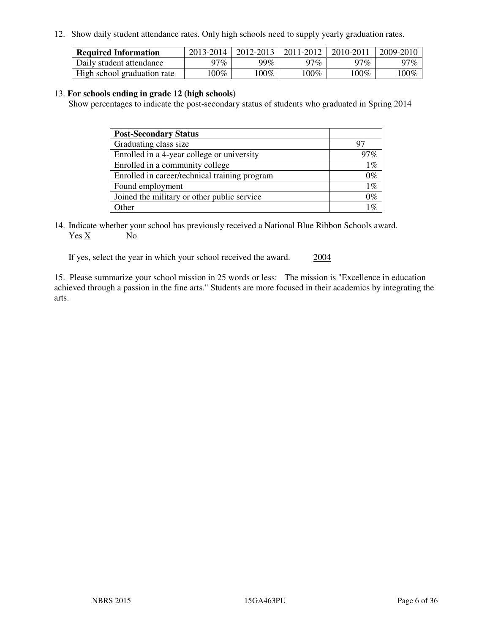12. Show daily student attendance rates. Only high schools need to supply yearly graduation rates.

| <b>Required Information</b> | 2013-2014 | 2012-2013 | 2011-2012 | 2010-2011 | 2009-2010 |
|-----------------------------|-----------|-----------|-----------|-----------|-----------|
| Daily student attendance    | 97%       | 99%       | 97%       | 97%       | 97%       |
| High school graduation rate | $00\%$    | $.00\%$   | 100%      | $100\%$   | $100\%$   |

#### 13. **For schools ending in grade 12 (high schools)**

Show percentages to indicate the post-secondary status of students who graduated in Spring 2014

| <b>Post-Secondary Status</b>                  |        |
|-----------------------------------------------|--------|
| Graduating class size                         |        |
| Enrolled in a 4-year college or university    | $97\%$ |
| Enrolled in a community college               | $1\%$  |
| Enrolled in career/technical training program | $0\%$  |
| Found employment                              | $1\%$  |
| Joined the military or other public service   | $0\%$  |
| Other                                         | 107    |

14. Indicate whether your school has previously received a National Blue Ribbon Schools award. Yes X No

If yes, select the year in which your school received the award. 2004

15. Please summarize your school mission in 25 words or less: The mission is "Excellence in education achieved through a passion in the fine arts." Students are more focused in their academics by integrating the arts.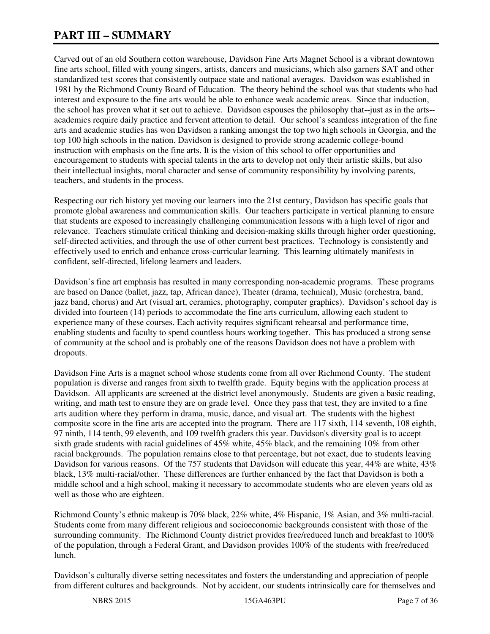# **PART III – SUMMARY**

Carved out of an old Southern cotton warehouse, Davidson Fine Arts Magnet School is a vibrant downtown fine arts school, filled with young singers, artists, dancers and musicians, which also garners SAT and other standardized test scores that consistently outpace state and national averages. Davidson was established in 1981 by the Richmond County Board of Education. The theory behind the school was that students who had interest and exposure to the fine arts would be able to enhance weak academic areas. Since that induction, the school has proven what it set out to achieve. Davidson espouses the philosophy that--just as in the arts- academics require daily practice and fervent attention to detail. Our school's seamless integration of the fine arts and academic studies has won Davidson a ranking amongst the top two high schools in Georgia, and the top 100 high schools in the nation. Davidson is designed to provide strong academic college-bound instruction with emphasis on the fine arts. It is the vision of this school to offer opportunities and encouragement to students with special talents in the arts to develop not only their artistic skills, but also their intellectual insights, moral character and sense of community responsibility by involving parents, teachers, and students in the process.

Respecting our rich history yet moving our learners into the 21st century, Davidson has specific goals that promote global awareness and communication skills. Our teachers participate in vertical planning to ensure that students are exposed to increasingly challenging communication lessons with a high level of rigor and relevance. Teachers stimulate critical thinking and decision-making skills through higher order questioning, self-directed activities, and through the use of other current best practices. Technology is consistently and effectively used to enrich and enhance cross-curricular learning. This learning ultimately manifests in confident, self-directed, lifelong learners and leaders.

Davidson's fine art emphasis has resulted in many corresponding non-academic programs. These programs are based on Dance (ballet, jazz, tap, African dance), Theater (drama, technical), Music (orchestra, band, jazz band, chorus) and Art (visual art, ceramics, photography, computer graphics). Davidson's school day is divided into fourteen (14) periods to accommodate the fine arts curriculum, allowing each student to experience many of these courses. Each activity requires significant rehearsal and performance time, enabling students and faculty to spend countless hours working together. This has produced a strong sense of community at the school and is probably one of the reasons Davidson does not have a problem with dropouts.

Davidson Fine Arts is a magnet school whose students come from all over Richmond County. The student population is diverse and ranges from sixth to twelfth grade. Equity begins with the application process at Davidson. All applicants are screened at the district level anonymously. Students are given a basic reading, writing, and math test to ensure they are on grade level. Once they pass that test, they are invited to a fine arts audition where they perform in drama, music, dance, and visual art. The students with the highest composite score in the fine arts are accepted into the program. There are 117 sixth, 114 seventh, 108 eighth, 97 ninth, 114 tenth, 99 eleventh, and 109 twelfth graders this year. Davidson's diversity goal is to accept sixth grade students with racial guidelines of 45% white, 45% black, and the remaining 10% from other racial backgrounds. The population remains close to that percentage, but not exact, due to students leaving Davidson for various reasons. Of the 757 students that Davidson will educate this year, 44% are white, 43% black, 13% multi-racial/other. These differences are further enhanced by the fact that Davidson is both a middle school and a high school, making it necessary to accommodate students who are eleven years old as well as those who are eighteen.

Richmond County's ethnic makeup is 70% black, 22% white, 4% Hispanic, 1% Asian, and 3% multi-racial. Students come from many different religious and socioeconomic backgrounds consistent with those of the surrounding community. The Richmond County district provides free/reduced lunch and breakfast to 100% of the population, through a Federal Grant, and Davidson provides 100% of the students with free/reduced lunch.

Davidson's culturally diverse setting necessitates and fosters the understanding and appreciation of people from different cultures and backgrounds. Not by accident, our students intrinsically care for themselves and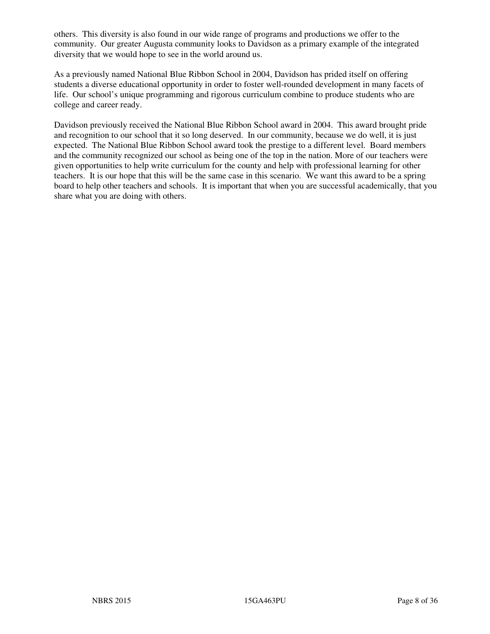others. This diversity is also found in our wide range of programs and productions we offer to the community. Our greater Augusta community looks to Davidson as a primary example of the integrated diversity that we would hope to see in the world around us.

As a previously named National Blue Ribbon School in 2004, Davidson has prided itself on offering students a diverse educational opportunity in order to foster well-rounded development in many facets of life. Our school's unique programming and rigorous curriculum combine to produce students who are college and career ready.

Davidson previously received the National Blue Ribbon School award in 2004. This award brought pride and recognition to our school that it so long deserved. In our community, because we do well, it is just expected. The National Blue Ribbon School award took the prestige to a different level. Board members and the community recognized our school as being one of the top in the nation. More of our teachers were given opportunities to help write curriculum for the county and help with professional learning for other teachers. It is our hope that this will be the same case in this scenario. We want this award to be a spring board to help other teachers and schools. It is important that when you are successful academically, that you share what you are doing with others.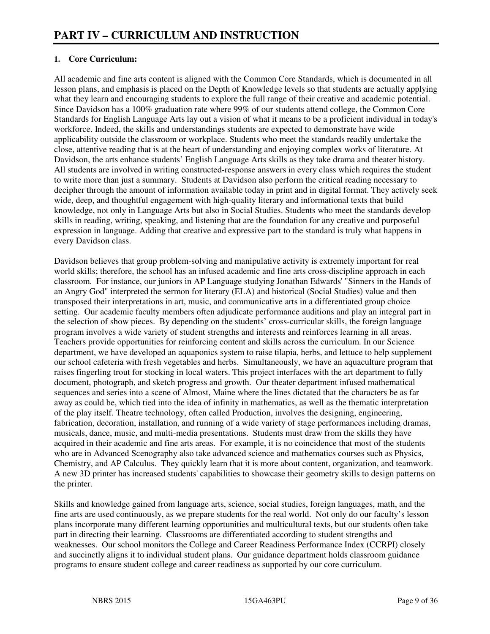#### **1. Core Curriculum:**

All academic and fine arts content is aligned with the Common Core Standards, which is documented in all lesson plans, and emphasis is placed on the Depth of Knowledge levels so that students are actually applying what they learn and encouraging students to explore the full range of their creative and academic potential. Since Davidson has a 100% graduation rate where 99% of our students attend college, the Common Core Standards for English Language Arts lay out a vision of what it means to be a proficient individual in today's workforce. Indeed, the skills and understandings students are expected to demonstrate have wide applicability outside the classroom or workplace. Students who meet the standards readily undertake the close, attentive reading that is at the heart of understanding and enjoying complex works of literature. At Davidson, the arts enhance students' English Language Arts skills as they take drama and theater history. All students are involved in writing constructed-response answers in every class which requires the student to write more than just a summary. Students at Davidson also perform the critical reading necessary to decipher through the amount of information available today in print and in digital format. They actively seek wide, deep, and thoughtful engagement with high-quality literary and informational texts that build knowledge, not only in Language Arts but also in Social Studies. Students who meet the standards develop skills in reading, writing, speaking, and listening that are the foundation for any creative and purposeful expression in language. Adding that creative and expressive part to the standard is truly what happens in every Davidson class.

Davidson believes that group problem-solving and manipulative activity is extremely important for real world skills; therefore, the school has an infused academic and fine arts cross-discipline approach in each classroom. For instance, our juniors in AP Language studying Jonathan Edwards' "Sinners in the Hands of an Angry God" interpreted the sermon for literary (ELA) and historical (Social Studies) value and then transposed their interpretations in art, music, and communicative arts in a differentiated group choice setting. Our academic faculty members often adjudicate performance auditions and play an integral part in the selection of show pieces. By depending on the students' cross-curricular skills, the foreign language program involves a wide variety of student strengths and interests and reinforces learning in all areas. Teachers provide opportunities for reinforcing content and skills across the curriculum. In our Science department, we have developed an aquaponics system to raise tilapia, herbs, and lettuce to help supplement our school cafeteria with fresh vegetables and herbs. Simultaneously, we have an aquaculture program that raises fingerling trout for stocking in local waters. This project interfaces with the art department to fully document, photograph, and sketch progress and growth. Our theater department infused mathematical sequences and series into a scene of Almost, Maine where the lines dictated that the characters be as far away as could be, which tied into the idea of infinity in mathematics, as well as the thematic interpretation of the play itself. Theatre technology, often called Production, involves the designing, engineering, fabrication, decoration, installation, and running of a wide variety of stage performances including dramas, musicals, dance, music, and multi-media presentations. Students must draw from the skills they have acquired in their academic and fine arts areas. For example, it is no coincidence that most of the students who are in Advanced Scenography also take advanced science and mathematics courses such as Physics, Chemistry, and AP Calculus. They quickly learn that it is more about content, organization, and teamwork. A new 3D printer has increased students' capabilities to showcase their geometry skills to design patterns on the printer.

Skills and knowledge gained from language arts, science, social studies, foreign languages, math, and the fine arts are used continuously, as we prepare students for the real world. Not only do our faculty's lesson plans incorporate many different learning opportunities and multicultural texts, but our students often take part in directing their learning. Classrooms are differentiated according to student strengths and weaknesses. Our school monitors the College and Career Readiness Performance Index (CCRPI) closely and succinctly aligns it to individual student plans. Our guidance department holds classroom guidance programs to ensure student college and career readiness as supported by our core curriculum.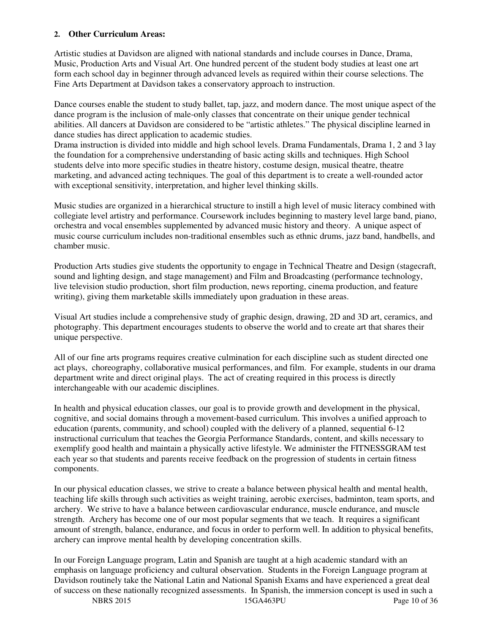#### **2. Other Curriculum Areas:**

Artistic studies at Davidson are aligned with national standards and include courses in Dance, Drama, Music, Production Arts and Visual Art. One hundred percent of the student body studies at least one art form each school day in beginner through advanced levels as required within their course selections. The Fine Arts Department at Davidson takes a conservatory approach to instruction.

Dance courses enable the student to study ballet, tap, jazz, and modern dance. The most unique aspect of the dance program is the inclusion of male-only classes that concentrate on their unique gender technical abilities. All dancers at Davidson are considered to be "artistic athletes." The physical discipline learned in dance studies has direct application to academic studies.

Drama instruction is divided into middle and high school levels. Drama Fundamentals, Drama 1, 2 and 3 lay the foundation for a comprehensive understanding of basic acting skills and techniques. High School students delve into more specific studies in theatre history, costume design, musical theatre, theatre marketing, and advanced acting techniques. The goal of this department is to create a well-rounded actor with exceptional sensitivity, interpretation, and higher level thinking skills.

Music studies are organized in a hierarchical structure to instill a high level of music literacy combined with collegiate level artistry and performance. Coursework includes beginning to mastery level large band, piano, orchestra and vocal ensembles supplemented by advanced music history and theory. A unique aspect of music course curriculum includes non-traditional ensembles such as ethnic drums, jazz band, handbells, and chamber music.

Production Arts studies give students the opportunity to engage in Technical Theatre and Design (stagecraft, sound and lighting design, and stage management) and Film and Broadcasting (performance technology, live television studio production, short film production, news reporting, cinema production, and feature writing), giving them marketable skills immediately upon graduation in these areas.

Visual Art studies include a comprehensive study of graphic design, drawing, 2D and 3D art, ceramics, and photography. This department encourages students to observe the world and to create art that shares their unique perspective.

All of our fine arts programs requires creative culmination for each discipline such as student directed one act plays, choreography, collaborative musical performances, and film. For example, students in our drama department write and direct original plays. The act of creating required in this process is directly interchangeable with our academic disciplines.

In health and physical education classes, our goal is to provide growth and development in the physical, cognitive, and social domains through a movement-based curriculum. This involves a unified approach to education (parents, community, and school) coupled with the delivery of a planned, sequential 6-12 instructional curriculum that teaches the Georgia Performance Standards, content, and skills necessary to exemplify good health and maintain a physically active lifestyle. We administer the FITNESSGRAM test each year so that students and parents receive feedback on the progression of students in certain fitness components.

In our physical education classes, we strive to create a balance between physical health and mental health, teaching life skills through such activities as weight training, aerobic exercises, badminton, team sports, and archery. We strive to have a balance between cardiovascular endurance, muscle endurance, and muscle strength. Archery has become one of our most popular segments that we teach. It requires a significant amount of strength, balance, endurance, and focus in order to perform well. In addition to physical benefits, archery can improve mental health by developing concentration skills.

In our Foreign Language program, Latin and Spanish are taught at a high academic standard with an emphasis on language proficiency and cultural observation. Students in the Foreign Language program at Davidson routinely take the National Latin and National Spanish Exams and have experienced a great deal of success on these nationally recognized assessments. In Spanish, the immersion concept is used in such a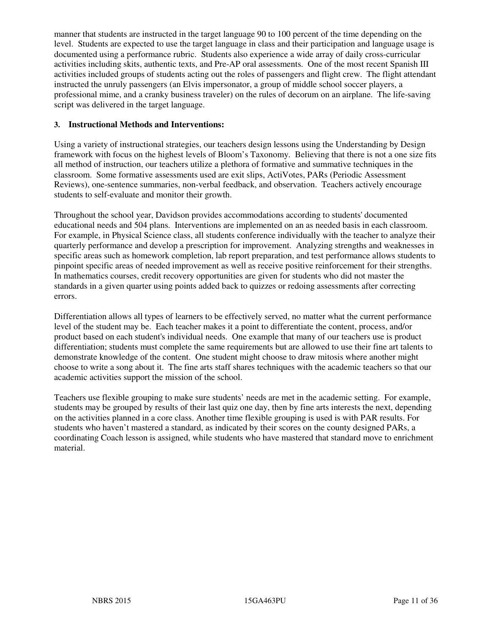manner that students are instructed in the target language 90 to 100 percent of the time depending on the level. Students are expected to use the target language in class and their participation and language usage is documented using a performance rubric. Students also experience a wide array of daily cross-curricular activities including skits, authentic texts, and Pre-AP oral assessments. One of the most recent Spanish III activities included groups of students acting out the roles of passengers and flight crew. The flight attendant instructed the unruly passengers (an Elvis impersonator, a group of middle school soccer players, a professional mime, and a cranky business traveler) on the rules of decorum on an airplane. The life-saving script was delivered in the target language.

#### **3. Instructional Methods and Interventions:**

Using a variety of instructional strategies, our teachers design lessons using the Understanding by Design framework with focus on the highest levels of Bloom's Taxonomy. Believing that there is not a one size fits all method of instruction, our teachers utilize a plethora of formative and summative techniques in the classroom. Some formative assessments used are exit slips, ActiVotes, PARs (Periodic Assessment Reviews), one-sentence summaries, non-verbal feedback, and observation. Teachers actively encourage students to self-evaluate and monitor their growth.

Throughout the school year, Davidson provides accommodations according to students' documented educational needs and 504 plans. Interventions are implemented on an as needed basis in each classroom. For example, in Physical Science class, all students conference individually with the teacher to analyze their quarterly performance and develop a prescription for improvement. Analyzing strengths and weaknesses in specific areas such as homework completion, lab report preparation, and test performance allows students to pinpoint specific areas of needed improvement as well as receive positive reinforcement for their strengths. In mathematics courses, credit recovery opportunities are given for students who did not master the standards in a given quarter using points added back to quizzes or redoing assessments after correcting errors.

Differentiation allows all types of learners to be effectively served, no matter what the current performance level of the student may be. Each teacher makes it a point to differentiate the content, process, and/or product based on each student's individual needs. One example that many of our teachers use is product differentiation; students must complete the same requirements but are allowed to use their fine art talents to demonstrate knowledge of the content. One student might choose to draw mitosis where another might choose to write a song about it. The fine arts staff shares techniques with the academic teachers so that our academic activities support the mission of the school.

Teachers use flexible grouping to make sure students' needs are met in the academic setting. For example, students may be grouped by results of their last quiz one day, then by fine arts interests the next, depending on the activities planned in a core class. Another time flexible grouping is used is with PAR results. For students who haven't mastered a standard, as indicated by their scores on the county designed PARs, a coordinating Coach lesson is assigned, while students who have mastered that standard move to enrichment material.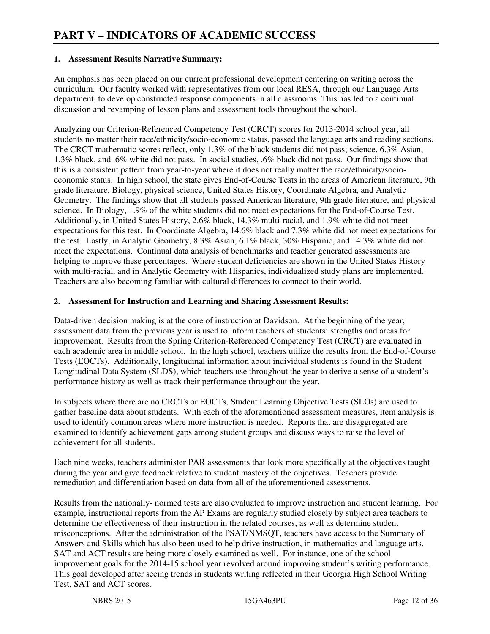#### **1. Assessment Results Narrative Summary:**

An emphasis has been placed on our current professional development centering on writing across the curriculum. Our faculty worked with representatives from our local RESA, through our Language Arts department, to develop constructed response components in all classrooms. This has led to a continual discussion and revamping of lesson plans and assessment tools throughout the school.

Analyzing our Criterion-Referenced Competency Test (CRCT) scores for 2013-2014 school year, all students no matter their race/ethnicity/socio-economic status, passed the language arts and reading sections. The CRCT mathematic scores reflect, only 1.3% of the black students did not pass; science, 6.3% Asian, 1.3% black, and .6% white did not pass. In social studies, .6% black did not pass. Our findings show that this is a consistent pattern from year-to-year where it does not really matter the race/ethnicity/socioeconomic status. In high school, the state gives End-of-Course Tests in the areas of American literature, 9th grade literature, Biology, physical science, United States History, Coordinate Algebra, and Analytic Geometry. The findings show that all students passed American literature, 9th grade literature, and physical science. In Biology, 1.9% of the white students did not meet expectations for the End-of-Course Test. Additionally, in United States History, 2.6% black, 14.3% multi-racial, and 1.9% white did not meet expectations for this test. In Coordinate Algebra, 14.6% black and 7.3% white did not meet expectations for the test. Lastly, in Analytic Geometry, 8.3% Asian, 6.1% black, 30% Hispanic, and 14.3% white did not meet the expectations. Continual data analysis of benchmarks and teacher generated assessments are helping to improve these percentages. Where student deficiencies are shown in the United States History with multi-racial, and in Analytic Geometry with Hispanics, individualized study plans are implemented. Teachers are also becoming familiar with cultural differences to connect to their world.

#### **2. Assessment for Instruction and Learning and Sharing Assessment Results:**

Data-driven decision making is at the core of instruction at Davidson. At the beginning of the year, assessment data from the previous year is used to inform teachers of students' strengths and areas for improvement. Results from the Spring Criterion-Referenced Competency Test (CRCT) are evaluated in each academic area in middle school. In the high school, teachers utilize the results from the End-of-Course Tests (EOCTs). Additionally, longitudinal information about individual students is found in the Student Longitudinal Data System (SLDS), which teachers use throughout the year to derive a sense of a student's performance history as well as track their performance throughout the year.

In subjects where there are no CRCTs or EOCTs, Student Learning Objective Tests (SLOs) are used to gather baseline data about students. With each of the aforementioned assessment measures, item analysis is used to identify common areas where more instruction is needed. Reports that are disaggregated are examined to identify achievement gaps among student groups and discuss ways to raise the level of achievement for all students.

Each nine weeks, teachers administer PAR assessments that look more specifically at the objectives taught during the year and give feedback relative to student mastery of the objectives. Teachers provide remediation and differentiation based on data from all of the aforementioned assessments.

Results from the nationally- normed tests are also evaluated to improve instruction and student learning. For example, instructional reports from the AP Exams are regularly studied closely by subject area teachers to determine the effectiveness of their instruction in the related courses, as well as determine student misconceptions. After the administration of the PSAT/NMSQT, teachers have access to the Summary of Answers and Skills which has also been used to help drive instruction, in mathematics and language arts. SAT and ACT results are being more closely examined as well. For instance, one of the school improvement goals for the 2014-15 school year revolved around improving student's writing performance. This goal developed after seeing trends in students writing reflected in their Georgia High School Writing Test, SAT and ACT scores.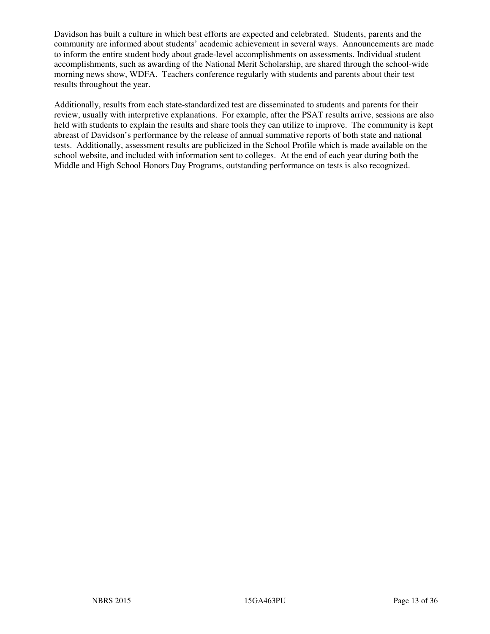Davidson has built a culture in which best efforts are expected and celebrated. Students, parents and the community are informed about students' academic achievement in several ways. Announcements are made to inform the entire student body about grade-level accomplishments on assessments. Individual student accomplishments, such as awarding of the National Merit Scholarship, are shared through the school-wide morning news show, WDFA. Teachers conference regularly with students and parents about their test results throughout the year.

Additionally, results from each state-standardized test are disseminated to students and parents for their review, usually with interpretive explanations. For example, after the PSAT results arrive, sessions are also held with students to explain the results and share tools they can utilize to improve. The community is kept abreast of Davidson's performance by the release of annual summative reports of both state and national tests. Additionally, assessment results are publicized in the School Profile which is made available on the school website, and included with information sent to colleges. At the end of each year during both the Middle and High School Honors Day Programs, outstanding performance on tests is also recognized.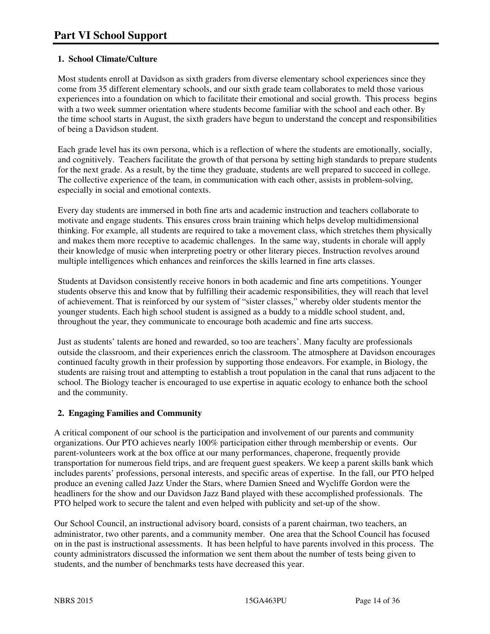#### **1. School Climate/Culture**

Most students enroll at Davidson as sixth graders from diverse elementary school experiences since they come from 35 different elementary schools, and our sixth grade team collaborates to meld those various experiences into a foundation on which to facilitate their emotional and social growth. This process begins with a two week summer orientation where students become familiar with the school and each other. By the time school starts in August, the sixth graders have begun to understand the concept and responsibilities of being a Davidson student.

Each grade level has its own persona, which is a reflection of where the students are emotionally, socially, and cognitively. Teachers facilitate the growth of that persona by setting high standards to prepare students for the next grade. As a result, by the time they graduate, students are well prepared to succeed in college. The collective experience of the team, in communication with each other, assists in problem-solving, especially in social and emotional contexts.

Every day students are immersed in both fine arts and academic instruction and teachers collaborate to motivate and engage students. This ensures cross brain training which helps develop multidimensional thinking. For example, all students are required to take a movement class, which stretches them physically and makes them more receptive to academic challenges. In the same way, students in chorale will apply their knowledge of music when interpreting poetry or other literary pieces. Instruction revolves around multiple intelligences which enhances and reinforces the skills learned in fine arts classes.

Students at Davidson consistently receive honors in both academic and fine arts competitions. Younger students observe this and know that by fulfilling their academic responsibilities, they will reach that level of achievement. That is reinforced by our system of "sister classes," whereby older students mentor the younger students. Each high school student is assigned as a buddy to a middle school student, and, throughout the year, they communicate to encourage both academic and fine arts success.

Just as students' talents are honed and rewarded, so too are teachers'. Many faculty are professionals outside the classroom, and their experiences enrich the classroom. The atmosphere at Davidson encourages continued faculty growth in their profession by supporting those endeavors. For example, in Biology, the students are raising trout and attempting to establish a trout population in the canal that runs adjacent to the school. The Biology teacher is encouraged to use expertise in aquatic ecology to enhance both the school and the community.

#### **2. Engaging Families and Community**

A critical component of our school is the participation and involvement of our parents and community organizations. Our PTO achieves nearly 100% participation either through membership or events. Our parent-volunteers work at the box office at our many performances, chaperone, frequently provide transportation for numerous field trips, and are frequent guest speakers. We keep a parent skills bank which includes parents' professions, personal interests, and specific areas of expertise. In the fall, our PTO helped produce an evening called Jazz Under the Stars, where Damien Sneed and Wycliffe Gordon were the headliners for the show and our Davidson Jazz Band played with these accomplished professionals. The PTO helped work to secure the talent and even helped with publicity and set-up of the show.

Our School Council, an instructional advisory board, consists of a parent chairman, two teachers, an administrator, two other parents, and a community member. One area that the School Council has focused on in the past is instructional assessments. It has been helpful to have parents involved in this process. The county administrators discussed the information we sent them about the number of tests being given to students, and the number of benchmarks tests have decreased this year.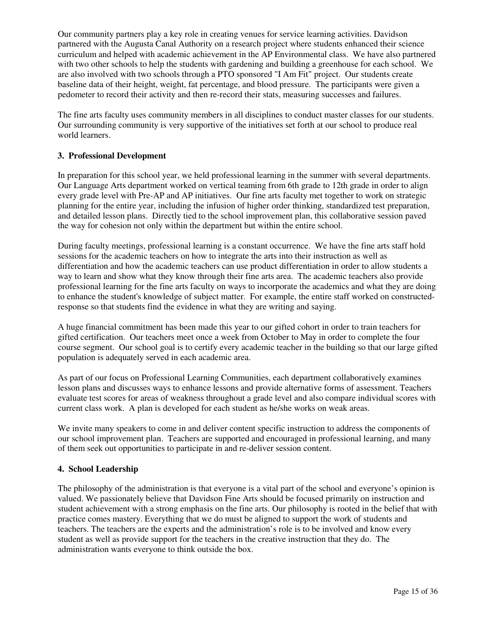Our community partners play a key role in creating venues for service learning activities. Davidson partnered with the Augusta Canal Authority on a research project where students enhanced their science curriculum and helped with academic achievement in the AP Environmental class. We have also partnered with two other schools to help the students with gardening and building a greenhouse for each school. We are also involved with two schools through a PTO sponsored "I Am Fit" project. Our students create baseline data of their height, weight, fat percentage, and blood pressure. The participants were given a pedometer to record their activity and then re-record their stats, measuring successes and failures.

The fine arts faculty uses community members in all disciplines to conduct master classes for our students. Our surrounding community is very supportive of the initiatives set forth at our school to produce real world learners.

#### **3. Professional Development**

In preparation for this school year, we held professional learning in the summer with several departments. Our Language Arts department worked on vertical teaming from 6th grade to 12th grade in order to align every grade level with Pre-AP and AP initiatives. Our fine arts faculty met together to work on strategic planning for the entire year, including the infusion of higher order thinking, standardized test preparation, and detailed lesson plans. Directly tied to the school improvement plan, this collaborative session paved the way for cohesion not only within the department but within the entire school.

During faculty meetings, professional learning is a constant occurrence. We have the fine arts staff hold sessions for the academic teachers on how to integrate the arts into their instruction as well as differentiation and how the academic teachers can use product differentiation in order to allow students a way to learn and show what they know through their fine arts area. The academic teachers also provide professional learning for the fine arts faculty on ways to incorporate the academics and what they are doing to enhance the student's knowledge of subject matter. For example, the entire staff worked on constructedresponse so that students find the evidence in what they are writing and saying.

A huge financial commitment has been made this year to our gifted cohort in order to train teachers for gifted certification. Our teachers meet once a week from October to May in order to complete the four course segment. Our school goal is to certify every academic teacher in the building so that our large gifted population is adequately served in each academic area.

As part of our focus on Professional Learning Communities, each department collaboratively examines lesson plans and discusses ways to enhance lessons and provide alternative forms of assessment. Teachers evaluate test scores for areas of weakness throughout a grade level and also compare individual scores with current class work. A plan is developed for each student as he/she works on weak areas.

We invite many speakers to come in and deliver content specific instruction to address the components of our school improvement plan. Teachers are supported and encouraged in professional learning, and many of them seek out opportunities to participate in and re-deliver session content.

#### **4. School Leadership**

The philosophy of the administration is that everyone is a vital part of the school and everyone's opinion is valued. We passionately believe that Davidson Fine Arts should be focused primarily on instruction and student achievement with a strong emphasis on the fine arts. Our philosophy is rooted in the belief that with practice comes mastery. Everything that we do must be aligned to support the work of students and teachers. The teachers are the experts and the administration's role is to be involved and know every student as well as provide support for the teachers in the creative instruction that they do. The administration wants everyone to think outside the box.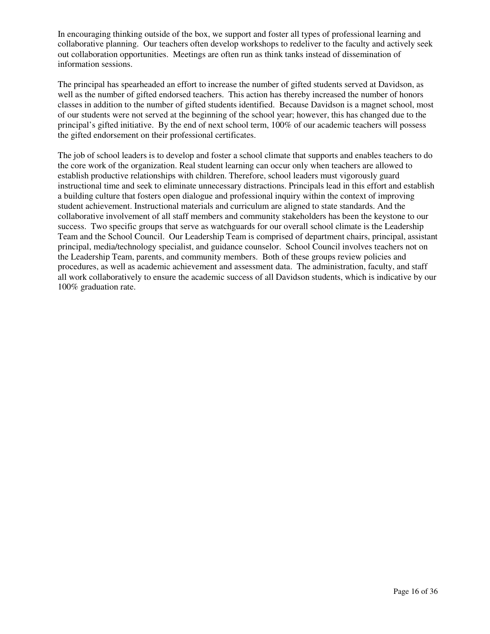In encouraging thinking outside of the box, we support and foster all types of professional learning and collaborative planning. Our teachers often develop workshops to redeliver to the faculty and actively seek out collaboration opportunities. Meetings are often run as think tanks instead of dissemination of information sessions.

The principal has spearheaded an effort to increase the number of gifted students served at Davidson, as well as the number of gifted endorsed teachers. This action has thereby increased the number of honors classes in addition to the number of gifted students identified. Because Davidson is a magnet school, most of our students were not served at the beginning of the school year; however, this has changed due to the principal's gifted initiative. By the end of next school term, 100% of our academic teachers will possess the gifted endorsement on their professional certificates.

The job of school leaders is to develop and foster a school climate that supports and enables teachers to do the core work of the organization. Real student learning can occur only when teachers are allowed to establish productive relationships with children. Therefore, school leaders must vigorously guard instructional time and seek to eliminate unnecessary distractions. Principals lead in this effort and establish a building culture that fosters open dialogue and professional inquiry within the context of improving student achievement. Instructional materials and curriculum are aligned to state standards. And the collaborative involvement of all staff members and community stakeholders has been the keystone to our success. Two specific groups that serve as watchguards for our overall school climate is the Leadership Team and the School Council. Our Leadership Team is comprised of department chairs, principal, assistant principal, media/technology specialist, and guidance counselor. School Council involves teachers not on the Leadership Team, parents, and community members. Both of these groups review policies and procedures, as well as academic achievement and assessment data. The administration, faculty, and staff all work collaboratively to ensure the academic success of all Davidson students, which is indicative by our 100% graduation rate.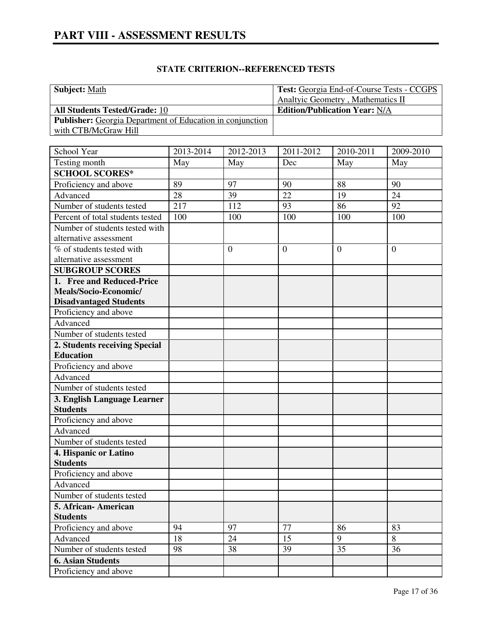| <b>STATE CRITERION--REFERENCED TESTS</b> |  |
|------------------------------------------|--|
|------------------------------------------|--|

| <b>Subject: Math</b>                                             | <b>Test:</b> Georgia End-of-Course Tests - CCGPS |
|------------------------------------------------------------------|--------------------------------------------------|
|                                                                  | Analtyic Geometry, Mathematics II                |
| <b>All Students Tested/Grade: 10</b>                             | <b>Edition/Publication Year: N/A</b>             |
| <b>Publisher:</b> Georgia Department of Education in conjunction |                                                  |
| with CTB/McGraw Hill                                             |                                                  |

| School Year                      | 2013-2014 | 2012-2013      | 2011-2012      | 2010-2011      | 2009-2010      |
|----------------------------------|-----------|----------------|----------------|----------------|----------------|
| Testing month                    | May       | May            | Dec            | May            | May            |
| <b>SCHOOL SCORES*</b>            |           |                |                |                |                |
| Proficiency and above            | 89        | 97             | 90             | 88             | 90             |
| Advanced                         | 28        | 39             | 22             | 19             | 24             |
| Number of students tested        | 217       | 112            | 93             | 86             | 92             |
| Percent of total students tested | 100       | 100            | 100            | 100            | 100            |
| Number of students tested with   |           |                |                |                |                |
| alternative assessment           |           |                |                |                |                |
| % of students tested with        |           | $\overline{0}$ | $\overline{0}$ | $\overline{0}$ | $\overline{0}$ |
| alternative assessment           |           |                |                |                |                |
| <b>SUBGROUP SCORES</b>           |           |                |                |                |                |
| 1. Free and Reduced-Price        |           |                |                |                |                |
| Meals/Socio-Economic/            |           |                |                |                |                |
| <b>Disadvantaged Students</b>    |           |                |                |                |                |
| Proficiency and above            |           |                |                |                |                |
| Advanced                         |           |                |                |                |                |
| Number of students tested        |           |                |                |                |                |
| 2. Students receiving Special    |           |                |                |                |                |
| <b>Education</b>                 |           |                |                |                |                |
| Proficiency and above            |           |                |                |                |                |
| Advanced                         |           |                |                |                |                |
| Number of students tested        |           |                |                |                |                |
| 3. English Language Learner      |           |                |                |                |                |
| <b>Students</b>                  |           |                |                |                |                |
| Proficiency and above            |           |                |                |                |                |
| Advanced                         |           |                |                |                |                |
| Number of students tested        |           |                |                |                |                |
| 4. Hispanic or Latino            |           |                |                |                |                |
| <b>Students</b>                  |           |                |                |                |                |
| Proficiency and above            |           |                |                |                |                |
| Advanced                         |           |                |                |                |                |
| Number of students tested        |           |                |                |                |                |
| 5. African-American              |           |                |                |                |                |
| <b>Students</b>                  |           |                |                |                |                |
| Proficiency and above            | 94        | 97             | 77             | 86             | 83             |
| Advanced                         | 18        | 24             | 15             | 9              | 8              |
| Number of students tested        | 98        | 38             | 39             | 35             | 36             |
| <b>6. Asian Students</b>         |           |                |                |                |                |
| Proficiency and above            |           |                |                |                |                |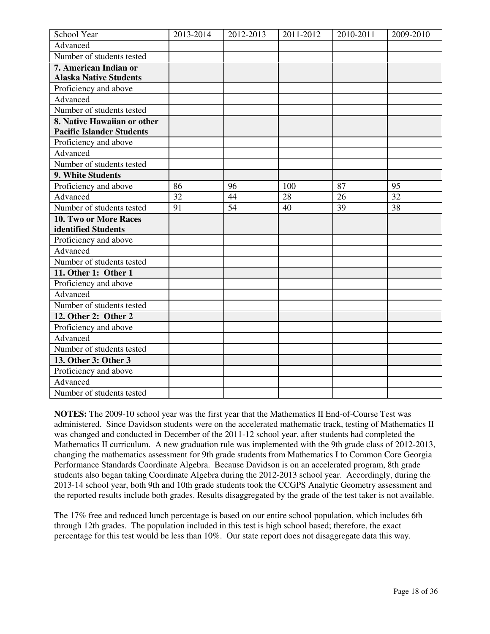| School Year                      | 2013-2014 | 2012-2013       | 2011-2012 | 2010-2011 | 2009-2010 |
|----------------------------------|-----------|-----------------|-----------|-----------|-----------|
| Advanced                         |           |                 |           |           |           |
| Number of students tested        |           |                 |           |           |           |
| 7. American Indian or            |           |                 |           |           |           |
| <b>Alaska Native Students</b>    |           |                 |           |           |           |
| Proficiency and above            |           |                 |           |           |           |
| Advanced                         |           |                 |           |           |           |
| Number of students tested        |           |                 |           |           |           |
| 8. Native Hawaiian or other      |           |                 |           |           |           |
| <b>Pacific Islander Students</b> |           |                 |           |           |           |
| Proficiency and above            |           |                 |           |           |           |
| Advanced                         |           |                 |           |           |           |
| Number of students tested        |           |                 |           |           |           |
| 9. White Students                |           |                 |           |           |           |
| Proficiency and above            | 86        | 96              | 100       | 87        | 95        |
| Advanced                         | 32        | 44              | 28        | 26        | 32        |
| Number of students tested        | 91        | $\overline{54}$ | 40        | 39        | 38        |
| 10. Two or More Races            |           |                 |           |           |           |
| identified Students              |           |                 |           |           |           |
| Proficiency and above            |           |                 |           |           |           |
| Advanced                         |           |                 |           |           |           |
| Number of students tested        |           |                 |           |           |           |
| 11. Other 1: Other 1             |           |                 |           |           |           |
| Proficiency and above            |           |                 |           |           |           |
| Advanced                         |           |                 |           |           |           |
| Number of students tested        |           |                 |           |           |           |
| 12. Other 2: Other 2             |           |                 |           |           |           |
| Proficiency and above            |           |                 |           |           |           |
| Advanced                         |           |                 |           |           |           |
| Number of students tested        |           |                 |           |           |           |
| 13. Other 3: Other 3             |           |                 |           |           |           |
| Proficiency and above            |           |                 |           |           |           |
| Advanced                         |           |                 |           |           |           |
| Number of students tested        |           |                 |           |           |           |

**NOTES:** The 2009-10 school year was the first year that the Mathematics II End-of-Course Test was administered. Since Davidson students were on the accelerated mathematic track, testing of Mathematics II was changed and conducted in December of the 2011-12 school year, after students had completed the Mathematics II curriculum. A new graduation rule was implemented with the 9th grade class of 2012-2013, changing the mathematics assessment for 9th grade students from Mathematics I to Common Core Georgia Performance Standards Coordinate Algebra. Because Davidson is on an accelerated program, 8th grade students also began taking Coordinate Algebra during the 2012-2013 school year. Accordingly, during the 2013-14 school year, both 9th and 10th grade students took the CCGPS Analytic Geometry assessment and the reported results include both grades. Results disaggregated by the grade of the test taker is not available.

The 17% free and reduced lunch percentage is based on our entire school population, which includes 6th through 12th grades. The population included in this test is high school based; therefore, the exact percentage for this test would be less than 10%. Our state report does not disaggregate data this way.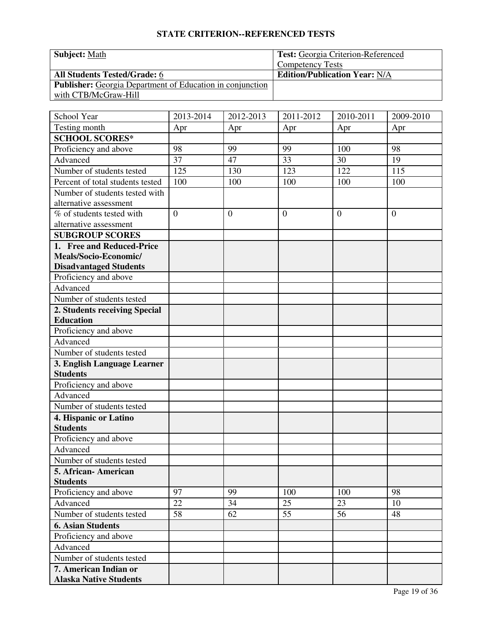| <b>Subject: Math</b>                                             | <b>Test:</b> Georgia Criterion-Referenced |
|------------------------------------------------------------------|-------------------------------------------|
|                                                                  | <b>Competency Tests</b>                   |
| <b>All Students Tested/Grade: 6</b>                              | <b>Edition/Publication Year: N/A</b>      |
| <b>Publisher:</b> Georgia Department of Education in conjunction |                                           |
| with CTB/McGraw-Hill                                             |                                           |

| School Year                      | 2013-2014      | 2012-2013      | 2011-2012      | 2010-2011      | 2009-2010      |
|----------------------------------|----------------|----------------|----------------|----------------|----------------|
| Testing month                    | Apr            | Apr            | Apr            | Apr            | Apr            |
| <b>SCHOOL SCORES*</b>            |                |                |                |                |                |
| Proficiency and above            | 98             | 99             | 99             | 100            | 98             |
| Advanced                         | 37             | 47             | 33             | 30             | 19             |
| Number of students tested        | 125            | 130            | 123            | 122            | 115            |
| Percent of total students tested | 100            | 100            | 100            | 100            | 100            |
| Number of students tested with   |                |                |                |                |                |
| alternative assessment           |                |                |                |                |                |
| % of students tested with        | $\overline{0}$ | $\overline{0}$ | $\overline{0}$ | $\overline{0}$ | $\overline{0}$ |
| alternative assessment           |                |                |                |                |                |
| <b>SUBGROUP SCORES</b>           |                |                |                |                |                |
| 1. Free and Reduced-Price        |                |                |                |                |                |
| Meals/Socio-Economic/            |                |                |                |                |                |
| <b>Disadvantaged Students</b>    |                |                |                |                |                |
| Proficiency and above            |                |                |                |                |                |
| Advanced                         |                |                |                |                |                |
| Number of students tested        |                |                |                |                |                |
| 2. Students receiving Special    |                |                |                |                |                |
| <b>Education</b>                 |                |                |                |                |                |
| Proficiency and above            |                |                |                |                |                |
| Advanced                         |                |                |                |                |                |
| Number of students tested        |                |                |                |                |                |
| 3. English Language Learner      |                |                |                |                |                |
| <b>Students</b>                  |                |                |                |                |                |
| Proficiency and above            |                |                |                |                |                |
| Advanced                         |                |                |                |                |                |
| Number of students tested        |                |                |                |                |                |
| 4. Hispanic or Latino            |                |                |                |                |                |
| <b>Students</b>                  |                |                |                |                |                |
| Proficiency and above            |                |                |                |                |                |
| Advanced                         |                |                |                |                |                |
| Number of students tested        |                |                |                |                |                |
| 5. African-American              |                |                |                |                |                |
| <b>Students</b>                  |                |                |                |                |                |
| Proficiency and above            | 97             | 99             | 100            | 100            | 98             |
| Advanced                         | 22             | 34             | 25             | 23             | 10             |
| Number of students tested        | 58             | 62             | 55             | 56             | 48             |
| <b>6. Asian Students</b>         |                |                |                |                |                |
| Proficiency and above            |                |                |                |                |                |
| Advanced                         |                |                |                |                |                |
| Number of students tested        |                |                |                |                |                |
| 7. American Indian or            |                |                |                |                |                |
| <b>Alaska Native Students</b>    |                |                |                |                |                |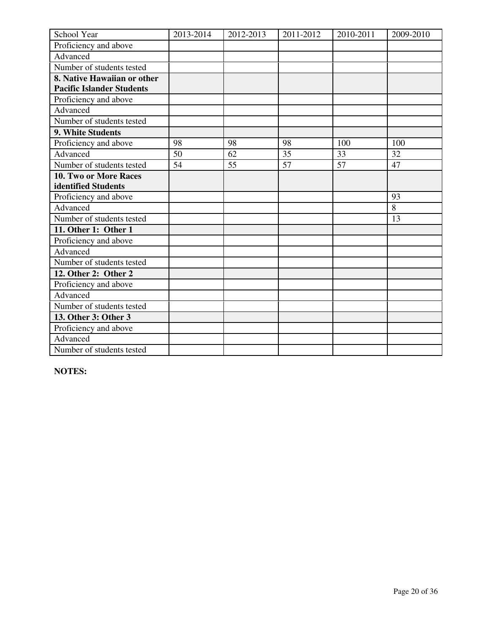| School Year                      | 2013-2014 | 2012-2013 | 2011-2012       | 2010-2011       | 2009-2010 |
|----------------------------------|-----------|-----------|-----------------|-----------------|-----------|
| Proficiency and above            |           |           |                 |                 |           |
| Advanced                         |           |           |                 |                 |           |
| Number of students tested        |           |           |                 |                 |           |
| 8. Native Hawaiian or other      |           |           |                 |                 |           |
| <b>Pacific Islander Students</b> |           |           |                 |                 |           |
| Proficiency and above            |           |           |                 |                 |           |
| Advanced                         |           |           |                 |                 |           |
| Number of students tested        |           |           |                 |                 |           |
| 9. White Students                |           |           |                 |                 |           |
| Proficiency and above            | 98        | 98        | 98              | 100             | 100       |
| Advanced                         | 50        | 62        | $\overline{35}$ | 33              | 32        |
| Number of students tested        | 54        | 55        | 57              | $\overline{57}$ | 47        |
| <b>10. Two or More Races</b>     |           |           |                 |                 |           |
| identified Students              |           |           |                 |                 |           |
| Proficiency and above            |           |           |                 |                 | 93        |
| Advanced                         |           |           |                 |                 | 8         |
| Number of students tested        |           |           |                 |                 | 13        |
| 11. Other 1: Other 1             |           |           |                 |                 |           |
| Proficiency and above            |           |           |                 |                 |           |
| Advanced                         |           |           |                 |                 |           |
| Number of students tested        |           |           |                 |                 |           |
| 12. Other 2: Other 2             |           |           |                 |                 |           |
| Proficiency and above            |           |           |                 |                 |           |
| Advanced                         |           |           |                 |                 |           |
| Number of students tested        |           |           |                 |                 |           |
| 13. Other 3: Other 3             |           |           |                 |                 |           |
| Proficiency and above            |           |           |                 |                 |           |
| Advanced                         |           |           |                 |                 |           |
| Number of students tested        |           |           |                 |                 |           |

**NOTES:**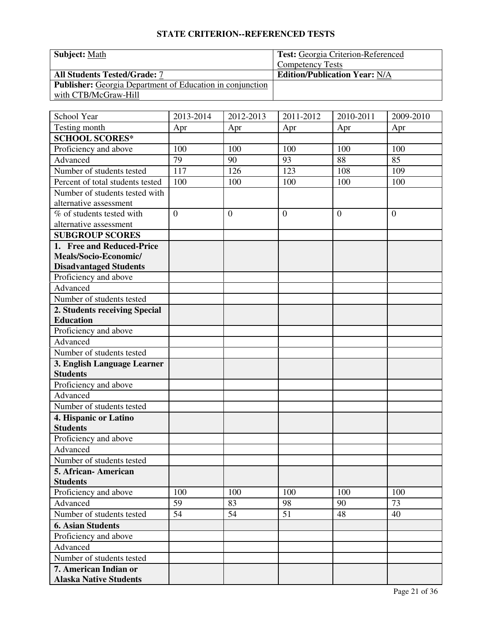| <b>Subject: Math</b>                                             | <b>Test:</b> Georgia Criterion-Referenced |
|------------------------------------------------------------------|-------------------------------------------|
|                                                                  | <b>Competency Tests</b>                   |
| <b>All Students Tested/Grade: 7</b>                              | <b>Edition/Publication Year: N/A</b>      |
| <b>Publisher:</b> Georgia Department of Education in conjunction |                                           |
| with CTB/McGraw-Hill                                             |                                           |

| School Year                      | 2013-2014 | 2012-2013      | 2011-2012      | 2010-2011      | $2009 - 2010$  |
|----------------------------------|-----------|----------------|----------------|----------------|----------------|
| Testing month                    | Apr       | Apr            | Apr            | Apr            | Apr            |
| <b>SCHOOL SCORES*</b>            |           |                |                |                |                |
| Proficiency and above            | 100       | 100            | 100            | 100            | 100            |
| Advanced                         | 79        | 90             | 93             | 88             | 85             |
| Number of students tested        | 117       | 126            | 123            | 108            | 109            |
| Percent of total students tested | 100       | 100            | 100            | 100            | 100            |
| Number of students tested with   |           |                |                |                |                |
| alternative assessment           |           |                |                |                |                |
| % of students tested with        | $\theta$  | $\overline{0}$ | $\overline{0}$ | $\overline{0}$ | $\overline{0}$ |
| alternative assessment           |           |                |                |                |                |
| <b>SUBGROUP SCORES</b>           |           |                |                |                |                |
| 1. Free and Reduced-Price        |           |                |                |                |                |
| Meals/Socio-Economic/            |           |                |                |                |                |
| <b>Disadvantaged Students</b>    |           |                |                |                |                |
| Proficiency and above            |           |                |                |                |                |
| Advanced                         |           |                |                |                |                |
| Number of students tested        |           |                |                |                |                |
| 2. Students receiving Special    |           |                |                |                |                |
| <b>Education</b>                 |           |                |                |                |                |
| Proficiency and above            |           |                |                |                |                |
| Advanced                         |           |                |                |                |                |
| Number of students tested        |           |                |                |                |                |
| 3. English Language Learner      |           |                |                |                |                |
| <b>Students</b>                  |           |                |                |                |                |
| Proficiency and above            |           |                |                |                |                |
| Advanced                         |           |                |                |                |                |
| Number of students tested        |           |                |                |                |                |
| 4. Hispanic or Latino            |           |                |                |                |                |
| <b>Students</b>                  |           |                |                |                |                |
| Proficiency and above            |           |                |                |                |                |
| Advanced                         |           |                |                |                |                |
| Number of students tested        |           |                |                |                |                |
| 5. African-American              |           |                |                |                |                |
| <b>Students</b>                  |           |                |                |                |                |
| Proficiency and above            | 100       | 100            | 100            | 100            | 100            |
| Advanced                         | 59        | 83             | 98             | 90             | 73             |
| Number of students tested        | 54        | 54             | 51             | 48             | 40             |
| <b>6. Asian Students</b>         |           |                |                |                |                |
| Proficiency and above            |           |                |                |                |                |
| Advanced                         |           |                |                |                |                |
| Number of students tested        |           |                |                |                |                |
| 7. American Indian or            |           |                |                |                |                |
| <b>Alaska Native Students</b>    |           |                |                |                |                |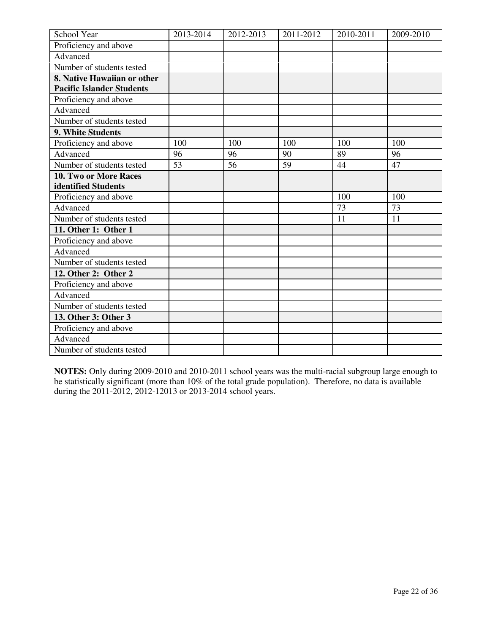| School Year                      | 2013-2014 | 2012-2013 | 2011-2012 | 2010-2011 | 2009-2010 |
|----------------------------------|-----------|-----------|-----------|-----------|-----------|
| Proficiency and above            |           |           |           |           |           |
| Advanced                         |           |           |           |           |           |
| Number of students tested        |           |           |           |           |           |
| 8. Native Hawaiian or other      |           |           |           |           |           |
| <b>Pacific Islander Students</b> |           |           |           |           |           |
| Proficiency and above            |           |           |           |           |           |
| Advanced                         |           |           |           |           |           |
| Number of students tested        |           |           |           |           |           |
| 9. White Students                |           |           |           |           |           |
| Proficiency and above            | 100       | 100       | 100       | 100       | 100       |
| Advanced                         | 96        | 96        | 90        | 89        | 96        |
| Number of students tested        | 53        | 56        | 59        | 44        | 47        |
| <b>10. Two or More Races</b>     |           |           |           |           |           |
| identified Students              |           |           |           |           |           |
| Proficiency and above            |           |           |           | 100       | 100       |
| Advanced                         |           |           |           | 73        | 73        |
| Number of students tested        |           |           |           | 11        | 11        |
| 11. Other 1: Other 1             |           |           |           |           |           |
| Proficiency and above            |           |           |           |           |           |
| Advanced                         |           |           |           |           |           |
| Number of students tested        |           |           |           |           |           |
| 12. Other 2: Other 2             |           |           |           |           |           |
| Proficiency and above            |           |           |           |           |           |
| Advanced                         |           |           |           |           |           |
| Number of students tested        |           |           |           |           |           |
| 13. Other 3: Other 3             |           |           |           |           |           |
| Proficiency and above            |           |           |           |           |           |
| Advanced                         |           |           |           |           |           |
| Number of students tested        |           |           |           |           |           |

**NOTES:** Only during 2009-2010 and 2010-2011 school years was the multi-racial subgroup large enough to be statistically significant (more than 10% of the total grade population). Therefore, no data is available during the 2011-2012, 2012-12013 or 2013-2014 school years.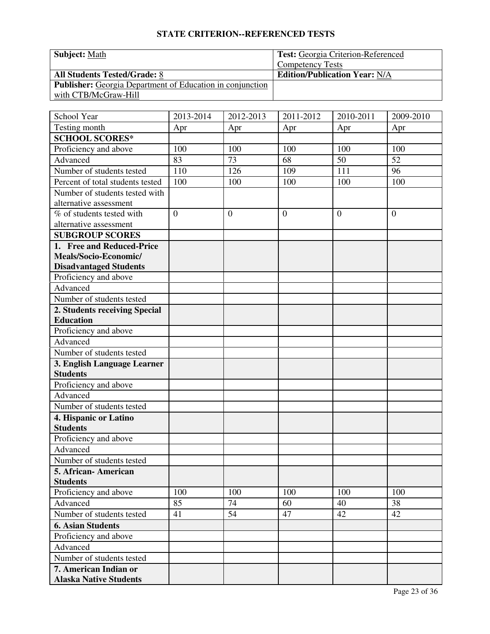| <b>Subject: Math</b>                                             | <b>Test:</b> Georgia Criterion-Referenced |
|------------------------------------------------------------------|-------------------------------------------|
|                                                                  | <b>Competency Tests</b>                   |
| <b>All Students Tested/Grade: 8</b>                              | <b>Edition/Publication Year: N/A</b>      |
| <b>Publisher:</b> Georgia Department of Education in conjunction |                                           |
| with CTB/McGraw-Hill                                             |                                           |

| School Year                      | 2013-2014 | 2012-2013      | 2011-2012      | 2010-2011      | $2009 - 2010$  |
|----------------------------------|-----------|----------------|----------------|----------------|----------------|
| Testing month                    | Apr       | Apr            | Apr            | Apr            | Apr            |
| <b>SCHOOL SCORES*</b>            |           |                |                |                |                |
| Proficiency and above            | 100       | 100            | 100            | 100            | 100            |
| Advanced                         | 83        | 73             | 68             | 50             | 52             |
| Number of students tested        | 110       | 126            | 109            | 111            | 96             |
| Percent of total students tested | 100       | 100            | 100            | 100            | 100            |
| Number of students tested with   |           |                |                |                |                |
| alternative assessment           |           |                |                |                |                |
| % of students tested with        | $\theta$  | $\overline{0}$ | $\overline{0}$ | $\overline{0}$ | $\overline{0}$ |
| alternative assessment           |           |                |                |                |                |
| <b>SUBGROUP SCORES</b>           |           |                |                |                |                |
| 1. Free and Reduced-Price        |           |                |                |                |                |
| Meals/Socio-Economic/            |           |                |                |                |                |
| <b>Disadvantaged Students</b>    |           |                |                |                |                |
| Proficiency and above            |           |                |                |                |                |
| Advanced                         |           |                |                |                |                |
| Number of students tested        |           |                |                |                |                |
| 2. Students receiving Special    |           |                |                |                |                |
| <b>Education</b>                 |           |                |                |                |                |
| Proficiency and above            |           |                |                |                |                |
| Advanced                         |           |                |                |                |                |
| Number of students tested        |           |                |                |                |                |
| 3. English Language Learner      |           |                |                |                |                |
| <b>Students</b>                  |           |                |                |                |                |
| Proficiency and above            |           |                |                |                |                |
| Advanced                         |           |                |                |                |                |
| Number of students tested        |           |                |                |                |                |
| 4. Hispanic or Latino            |           |                |                |                |                |
| <b>Students</b>                  |           |                |                |                |                |
| Proficiency and above            |           |                |                |                |                |
| Advanced                         |           |                |                |                |                |
| Number of students tested        |           |                |                |                |                |
| 5. African-American              |           |                |                |                |                |
| <b>Students</b>                  |           |                |                |                |                |
| Proficiency and above            | 100       | 100            | 100            | 100            | 100            |
| Advanced                         | 85        | 74             | 60             | 40             | 38             |
| Number of students tested        | 41        | 54             | 47             | 42             | 42             |
| <b>6. Asian Students</b>         |           |                |                |                |                |
| Proficiency and above            |           |                |                |                |                |
| Advanced                         |           |                |                |                |                |
| Number of students tested        |           |                |                |                |                |
| 7. American Indian or            |           |                |                |                |                |
| <b>Alaska Native Students</b>    |           |                |                |                |                |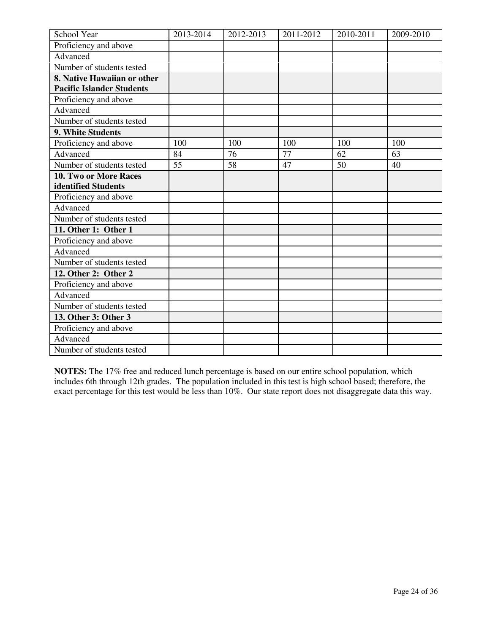| School Year                      | 2013-2014 | 2012-2013 | 2011-2012 | 2010-2011 | 2009-2010 |
|----------------------------------|-----------|-----------|-----------|-----------|-----------|
| Proficiency and above            |           |           |           |           |           |
| Advanced                         |           |           |           |           |           |
| Number of students tested        |           |           |           |           |           |
| 8. Native Hawaiian or other      |           |           |           |           |           |
| <b>Pacific Islander Students</b> |           |           |           |           |           |
| Proficiency and above            |           |           |           |           |           |
| Advanced                         |           |           |           |           |           |
| Number of students tested        |           |           |           |           |           |
| 9. White Students                |           |           |           |           |           |
| Proficiency and above            | 100       | 100       | 100       | 100       | 100       |
| Advanced                         | 84        | 76        | 77        | 62        | 63        |
| Number of students tested        | 55        | 58        | 47        | 50        | 40        |
| <b>10. Two or More Races</b>     |           |           |           |           |           |
| identified Students              |           |           |           |           |           |
| Proficiency and above            |           |           |           |           |           |
| Advanced                         |           |           |           |           |           |
| Number of students tested        |           |           |           |           |           |
| 11. Other 1: Other 1             |           |           |           |           |           |
| Proficiency and above            |           |           |           |           |           |
| Advanced                         |           |           |           |           |           |
| Number of students tested        |           |           |           |           |           |
| 12. Other 2: Other 2             |           |           |           |           |           |
| Proficiency and above            |           |           |           |           |           |
| Advanced                         |           |           |           |           |           |
| Number of students tested        |           |           |           |           |           |
| 13. Other 3: Other 3             |           |           |           |           |           |
| Proficiency and above            |           |           |           |           |           |
| Advanced                         |           |           |           |           |           |
| Number of students tested        |           |           |           |           |           |

**NOTES:** The 17% free and reduced lunch percentage is based on our entire school population, which includes 6th through 12th grades. The population included in this test is high school based; therefore, the exact percentage for this test would be less than 10%. Our state report does not disaggregate data this way.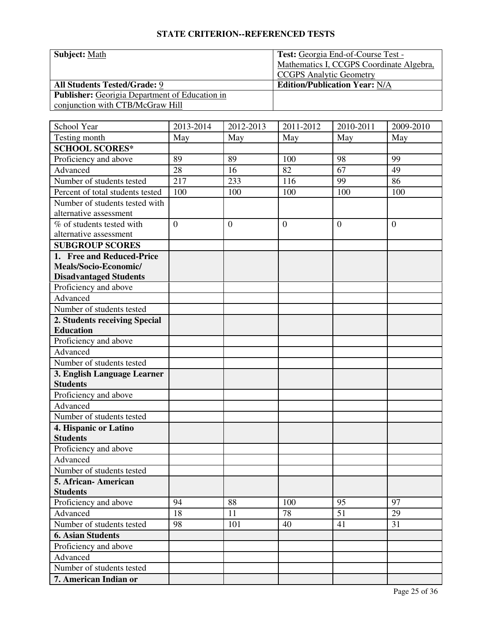| <b>Subject: Math</b>                                  | Test: Georgia End-of-Course Test -       |
|-------------------------------------------------------|------------------------------------------|
|                                                       | Mathematics I, CCGPS Coordinate Algebra, |
|                                                       | <b>CCGPS</b> Analytic Geometry           |
| <b>All Students Tested/Grade: 9</b>                   | <b>Edition/Publication Year: N/A</b>     |
| <b>Publisher:</b> Georigia Department of Education in |                                          |
| conjunction with CTB/McGraw Hill                      |                                          |

| School Year                             | 2013-2014      | 2012-2013        | 2011-2012      | 2010-2011 | 2009-2010    |
|-----------------------------------------|----------------|------------------|----------------|-----------|--------------|
| Testing month                           | May            | May              | May            | May       | May          |
| <b>SCHOOL SCORES*</b>                   |                |                  |                |           |              |
| Proficiency and above                   | 89             | 89               | 100            | 98        | 99           |
| Advanced                                | 28             | 16               | 82             | 67        | 49           |
| Number of students tested               | 217            | 233              | 116            | 99        | 86           |
| Percent of total students tested        | 100            | 100              | 100            | 100       | 100          |
| Number of students tested with          |                |                  |                |           |              |
| alternative assessment                  |                |                  |                |           |              |
| $\overline{\%}$ of students tested with | $\overline{0}$ | $\boldsymbol{0}$ | $\overline{0}$ | $\theta$  | $\mathbf{0}$ |
| alternative assessment                  |                |                  |                |           |              |
| <b>SUBGROUP SCORES</b>                  |                |                  |                |           |              |
| 1. Free and Reduced-Price               |                |                  |                |           |              |
| Meals/Socio-Economic/                   |                |                  |                |           |              |
| <b>Disadvantaged Students</b>           |                |                  |                |           |              |
| Proficiency and above                   |                |                  |                |           |              |
| Advanced                                |                |                  |                |           |              |
| Number of students tested               |                |                  |                |           |              |
| 2. Students receiving Special           |                |                  |                |           |              |
| <b>Education</b>                        |                |                  |                |           |              |
| Proficiency and above                   |                |                  |                |           |              |
| Advanced                                |                |                  |                |           |              |
| Number of students tested               |                |                  |                |           |              |
| 3. English Language Learner             |                |                  |                |           |              |
| <b>Students</b>                         |                |                  |                |           |              |
| Proficiency and above                   |                |                  |                |           |              |
| Advanced                                |                |                  |                |           |              |
| Number of students tested               |                |                  |                |           |              |
| 4. Hispanic or Latino                   |                |                  |                |           |              |
| <b>Students</b>                         |                |                  |                |           |              |
| Proficiency and above                   |                |                  |                |           |              |
| Advanced                                |                |                  |                |           |              |
| Number of students tested               |                |                  |                |           |              |
| 5. African-American                     |                |                  |                |           |              |
| <b>Students</b>                         |                |                  |                |           |              |
| Proficiency and above                   | 94             | 88               | 100            | 95        | 97           |
| Advanced                                | 18             | 11               | 78             | 51        | 29           |
| Number of students tested               | 98             | 101              | 40             | 41        | 31           |
| <b>6. Asian Students</b>                |                |                  |                |           |              |
| Proficiency and above                   |                |                  |                |           |              |
| Advanced                                |                |                  |                |           |              |
| Number of students tested               |                |                  |                |           |              |
| 7. American Indian or                   |                |                  |                |           |              |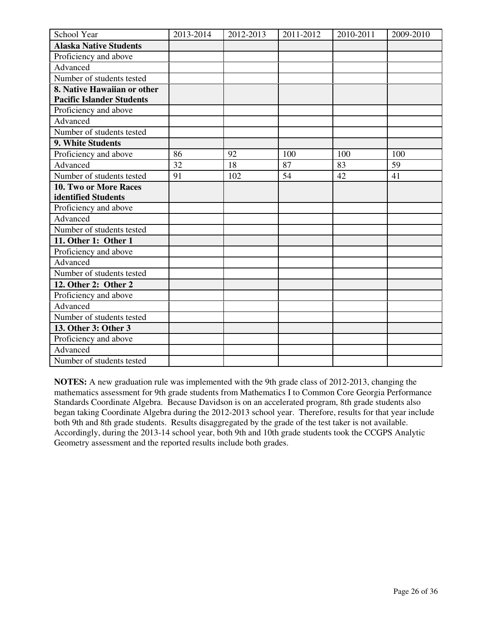| School Year                                                     | 2013-2014 | 2012-2013 | 2011-2012 | 2010-2011 | 2009-2010 |
|-----------------------------------------------------------------|-----------|-----------|-----------|-----------|-----------|
| <b>Alaska Native Students</b>                                   |           |           |           |           |           |
| Proficiency and above                                           |           |           |           |           |           |
| Advanced                                                        |           |           |           |           |           |
| Number of students tested                                       |           |           |           |           |           |
| 8. Native Hawaiian or other<br><b>Pacific Islander Students</b> |           |           |           |           |           |
| Proficiency and above                                           |           |           |           |           |           |
| Advanced                                                        |           |           |           |           |           |
| Number of students tested                                       |           |           |           |           |           |
| 9. White Students                                               |           |           |           |           |           |
| Proficiency and above                                           | 86        | 92        | 100       | 100       | 100       |
| Advanced                                                        | 32        | 18        | 87        | 83        | 59        |
| Number of students tested                                       | 91        | 102       | 54        | 42        | 41        |
| 10. Two or More Races                                           |           |           |           |           |           |
| identified Students                                             |           |           |           |           |           |
| Proficiency and above                                           |           |           |           |           |           |
| Advanced                                                        |           |           |           |           |           |
| Number of students tested                                       |           |           |           |           |           |
| 11. Other 1: Other 1                                            |           |           |           |           |           |
| Proficiency and above                                           |           |           |           |           |           |
| Advanced                                                        |           |           |           |           |           |
| Number of students tested                                       |           |           |           |           |           |
| 12. Other 2: Other 2                                            |           |           |           |           |           |
| Proficiency and above                                           |           |           |           |           |           |
| Advanced                                                        |           |           |           |           |           |
| Number of students tested                                       |           |           |           |           |           |
| 13. Other 3: Other 3                                            |           |           |           |           |           |
| Proficiency and above                                           |           |           |           |           |           |
| Advanced                                                        |           |           |           |           |           |
| Number of students tested                                       |           |           |           |           |           |

**NOTES:** A new graduation rule was implemented with the 9th grade class of 2012-2013, changing the mathematics assessment for 9th grade students from Mathematics I to Common Core Georgia Performance Standards Coordinate Algebra. Because Davidson is on an accelerated program, 8th grade students also began taking Coordinate Algebra during the 2012-2013 school year. Therefore, results for that year include both 9th and 8th grade students. Results disaggregated by the grade of the test taker is not available. Accordingly, during the 2013-14 school year, both 9th and 10th grade students took the CCGPS Analytic Geometry assessment and the reported results include both grades.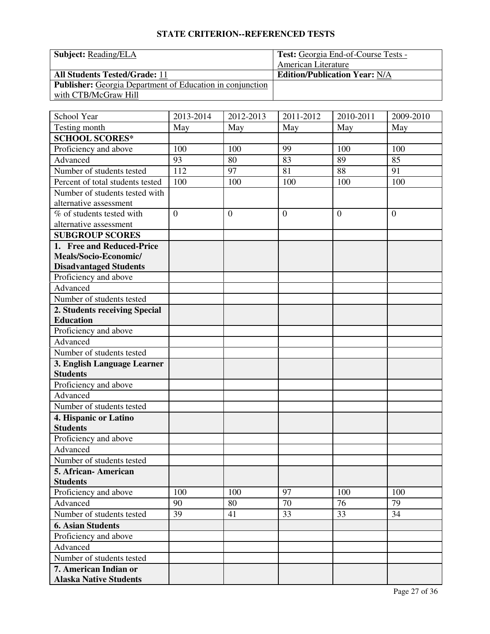| <b>Subject: Reading/ELA</b>                                      | Test: Georgia End-of-Course Tests -  |
|------------------------------------------------------------------|--------------------------------------|
|                                                                  | American Literature                  |
| <b>All Students Tested/Grade: 11</b>                             | <b>Edition/Publication Year: N/A</b> |
| <b>Publisher:</b> Georgia Department of Education in conjunction |                                      |
| with CTB/McGraw Hill                                             |                                      |

| School Year                      | 2013-2014      | 2012-2013      | 2011-2012      | 2010-2011      | 2009-2010      |
|----------------------------------|----------------|----------------|----------------|----------------|----------------|
| Testing month                    | May            | May            | May            | May            | May            |
| <b>SCHOOL SCORES*</b>            |                |                |                |                |                |
| Proficiency and above            | 100            | 100            | 99             | 100            | 100            |
| Advanced                         | 93             | 80             | 83             | 89             | 85             |
| Number of students tested        | 112            | 97             | 81             | 88             | 91             |
| Percent of total students tested | 100            | 100            | 100            | 100            | 100            |
| Number of students tested with   |                |                |                |                |                |
| alternative assessment           |                |                |                |                |                |
| % of students tested with        | $\overline{0}$ | $\overline{0}$ | $\overline{0}$ | $\overline{0}$ | $\overline{0}$ |
| alternative assessment           |                |                |                |                |                |
| <b>SUBGROUP SCORES</b>           |                |                |                |                |                |
| 1. Free and Reduced-Price        |                |                |                |                |                |
| Meals/Socio-Economic/            |                |                |                |                |                |
| <b>Disadvantaged Students</b>    |                |                |                |                |                |
| Proficiency and above            |                |                |                |                |                |
| Advanced                         |                |                |                |                |                |
| Number of students tested        |                |                |                |                |                |
| 2. Students receiving Special    |                |                |                |                |                |
| <b>Education</b>                 |                |                |                |                |                |
| Proficiency and above            |                |                |                |                |                |
| Advanced                         |                |                |                |                |                |
| Number of students tested        |                |                |                |                |                |
| 3. English Language Learner      |                |                |                |                |                |
| <b>Students</b>                  |                |                |                |                |                |
| Proficiency and above            |                |                |                |                |                |
| Advanced                         |                |                |                |                |                |
| Number of students tested        |                |                |                |                |                |
| 4. Hispanic or Latino            |                |                |                |                |                |
| <b>Students</b>                  |                |                |                |                |                |
| Proficiency and above            |                |                |                |                |                |
| Advanced                         |                |                |                |                |                |
| Number of students tested        |                |                |                |                |                |
| 5. African-American              |                |                |                |                |                |
| <b>Students</b>                  |                |                |                |                |                |
| Proficiency and above            | 100            | 100            | 97             | 100            | 100            |
| Advanced                         | 90             | 80             | 70             | 76             | 79             |
| Number of students tested        | 39             | 41             | 33             | 33             | 34             |
| <b>6. Asian Students</b>         |                |                |                |                |                |
| Proficiency and above            |                |                |                |                |                |
| Advanced                         |                |                |                |                |                |
| Number of students tested        |                |                |                |                |                |
| 7. American Indian or            |                |                |                |                |                |
| <b>Alaska Native Students</b>    |                |                |                |                |                |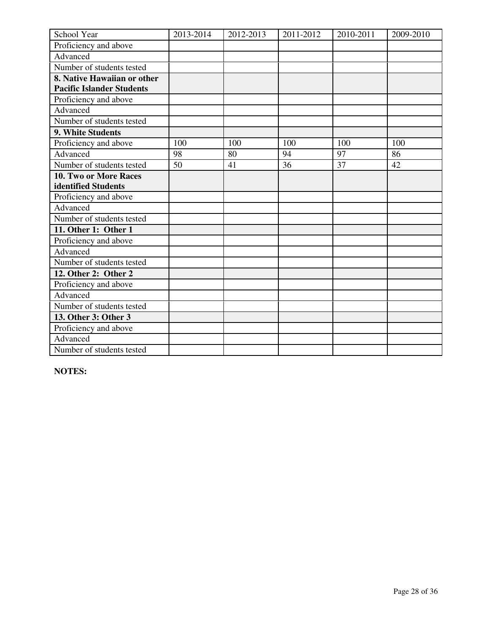| School Year                      | 2013-2014 | 2012-2013 | 2011-2012 | 2010-2011 | 2009-2010 |
|----------------------------------|-----------|-----------|-----------|-----------|-----------|
| Proficiency and above            |           |           |           |           |           |
| Advanced                         |           |           |           |           |           |
| Number of students tested        |           |           |           |           |           |
| 8. Native Hawaiian or other      |           |           |           |           |           |
| <b>Pacific Islander Students</b> |           |           |           |           |           |
| Proficiency and above            |           |           |           |           |           |
| Advanced                         |           |           |           |           |           |
| Number of students tested        |           |           |           |           |           |
| 9. White Students                |           |           |           |           |           |
| Proficiency and above            | 100       | 100       | 100       | 100       | 100       |
| Advanced                         | 98        | 80        | 94        | 97        | 86        |
| Number of students tested        | 50        | 41        | 36        | 37        | 42        |
| 10. Two or More Races            |           |           |           |           |           |
| identified Students              |           |           |           |           |           |
| Proficiency and above            |           |           |           |           |           |
| Advanced                         |           |           |           |           |           |
| Number of students tested        |           |           |           |           |           |
| 11. Other 1: Other 1             |           |           |           |           |           |
| Proficiency and above            |           |           |           |           |           |
| Advanced                         |           |           |           |           |           |
| Number of students tested        |           |           |           |           |           |
| 12. Other 2: Other 2             |           |           |           |           |           |
| Proficiency and above            |           |           |           |           |           |
| Advanced                         |           |           |           |           |           |
| Number of students tested        |           |           |           |           |           |
| 13. Other 3: Other 3             |           |           |           |           |           |
| Proficiency and above            |           |           |           |           |           |
| Advanced                         |           |           |           |           |           |
| Number of students tested        |           |           |           |           |           |

**NOTES:**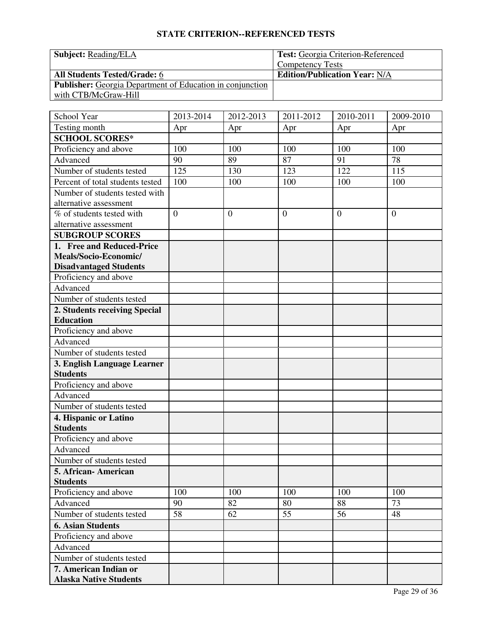| <b>Subject:</b> Reading/ELA                                      | <b>Test:</b> Georgia Criterion-Referenced |
|------------------------------------------------------------------|-------------------------------------------|
|                                                                  | <b>Competency Tests</b>                   |
| <b>All Students Tested/Grade: 6</b>                              | <b>Edition/Publication Year: N/A</b>      |
| <b>Publisher:</b> Georgia Department of Education in conjunction |                                           |
| with CTB/McGraw-Hill                                             |                                           |

| School Year                                           | 2013-2014 | 2012-2013    | 2011-2012      | 2010-2011      | 2009-2010    |
|-------------------------------------------------------|-----------|--------------|----------------|----------------|--------------|
| Testing month                                         | Apr       | Apr          | Apr            | Apr            | Apr          |
| <b>SCHOOL SCORES*</b>                                 |           |              |                |                |              |
| Proficiency and above                                 | 100       | 100          | 100            | 100            | 100          |
| Advanced                                              | 90        | 89           | 87             | 91             | 78           |
| Number of students tested                             | 125       | 130          | 123            | 122            | 115          |
| Percent of total students tested                      | 100       | 100          | 100            | 100            | 100          |
| Number of students tested with                        |           |              |                |                |              |
| alternative assessment                                |           |              |                |                |              |
| % of students tested with                             | $\theta$  | $\mathbf{0}$ | $\overline{0}$ | $\overline{0}$ | $\mathbf{0}$ |
| alternative assessment                                |           |              |                |                |              |
| <b>SUBGROUP SCORES</b>                                |           |              |                |                |              |
| 1. Free and Reduced-Price                             |           |              |                |                |              |
| Meals/Socio-Economic/                                 |           |              |                |                |              |
| <b>Disadvantaged Students</b>                         |           |              |                |                |              |
| Proficiency and above                                 |           |              |                |                |              |
| Advanced                                              |           |              |                |                |              |
| Number of students tested                             |           |              |                |                |              |
| 2. Students receiving Special                         |           |              |                |                |              |
| <b>Education</b>                                      |           |              |                |                |              |
| Proficiency and above                                 |           |              |                |                |              |
| Advanced                                              |           |              |                |                |              |
| Number of students tested                             |           |              |                |                |              |
| 3. English Language Learner                           |           |              |                |                |              |
| <b>Students</b>                                       |           |              |                |                |              |
| Proficiency and above                                 |           |              |                |                |              |
| Advanced                                              |           |              |                |                |              |
| Number of students tested                             |           |              |                |                |              |
| 4. Hispanic or Latino                                 |           |              |                |                |              |
| <b>Students</b>                                       |           |              |                |                |              |
| Proficiency and above                                 |           |              |                |                |              |
| Advanced                                              |           |              |                |                |              |
| Number of students tested                             |           |              |                |                |              |
| 5. African-American<br><b>Students</b>                |           |              |                |                |              |
| Proficiency and above                                 | 100       | 100          | 100            | 100            | 100          |
| Advanced                                              | 90        | 82           | 80             | 88             | 73           |
|                                                       |           |              |                |                |              |
| Number of students tested<br><b>6. Asian Students</b> | 58        | 62           | 55             | 56             | 48           |
|                                                       |           |              |                |                |              |
| Proficiency and above                                 |           |              |                |                |              |
| Advanced                                              |           |              |                |                |              |
| Number of students tested                             |           |              |                |                |              |
| 7. American Indian or                                 |           |              |                |                |              |
| <b>Alaska Native Students</b>                         |           |              |                |                |              |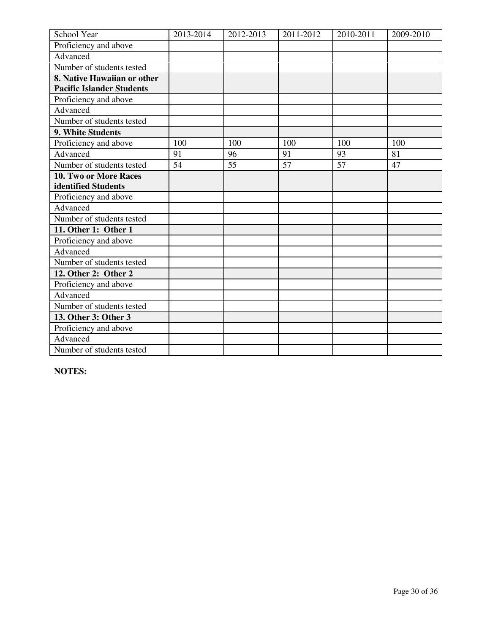| School Year                      | 2013-2014       | 2012-2013 | 2011-2012       | 2010-2011       | 2009-2010 |
|----------------------------------|-----------------|-----------|-----------------|-----------------|-----------|
| Proficiency and above            |                 |           |                 |                 |           |
| Advanced                         |                 |           |                 |                 |           |
| Number of students tested        |                 |           |                 |                 |           |
| 8. Native Hawaiian or other      |                 |           |                 |                 |           |
| <b>Pacific Islander Students</b> |                 |           |                 |                 |           |
| Proficiency and above            |                 |           |                 |                 |           |
| Advanced                         |                 |           |                 |                 |           |
| Number of students tested        |                 |           |                 |                 |           |
| 9. White Students                |                 |           |                 |                 |           |
| Proficiency and above            | 100             | 100       | 100             | 100             | 100       |
| Advanced                         | 91              | 96        | 91              | 93              | 81        |
| Number of students tested        | $\overline{54}$ | 55        | $\overline{57}$ | $\overline{57}$ | 47        |
| <b>10. Two or More Races</b>     |                 |           |                 |                 |           |
| identified Students              |                 |           |                 |                 |           |
| Proficiency and above            |                 |           |                 |                 |           |
| Advanced                         |                 |           |                 |                 |           |
| Number of students tested        |                 |           |                 |                 |           |
| 11. Other 1: Other 1             |                 |           |                 |                 |           |
| Proficiency and above            |                 |           |                 |                 |           |
| Advanced                         |                 |           |                 |                 |           |
| Number of students tested        |                 |           |                 |                 |           |
| 12. Other 2: Other 2             |                 |           |                 |                 |           |
| Proficiency and above            |                 |           |                 |                 |           |
| Advanced                         |                 |           |                 |                 |           |
| Number of students tested        |                 |           |                 |                 |           |
| 13. Other 3: Other 3             |                 |           |                 |                 |           |
| Proficiency and above            |                 |           |                 |                 |           |
| Advanced                         |                 |           |                 |                 |           |
| Number of students tested        |                 |           |                 |                 |           |

**NOTES:**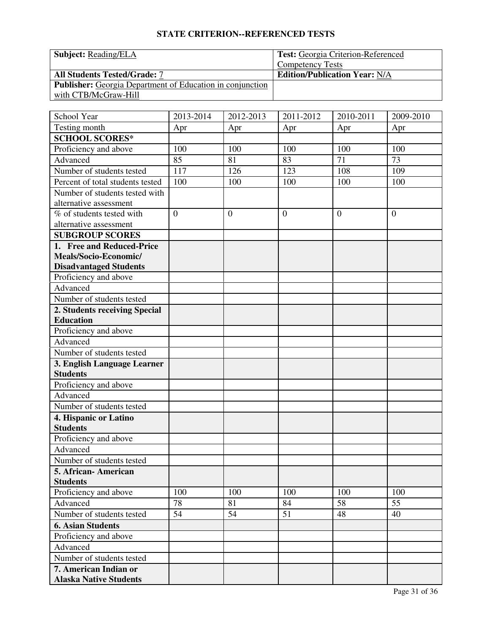| <b>Subject:</b> Reading/ELA                                      | <b>Test:</b> Georgia Criterion-Referenced |
|------------------------------------------------------------------|-------------------------------------------|
|                                                                  | <b>Competency Tests</b>                   |
| <b>All Students Tested/Grade: 7</b>                              | <b>Edition/Publication Year: N/A</b>      |
| <b>Publisher:</b> Georgia Department of Education in conjunction |                                           |
| with CTB/McGraw-Hill                                             |                                           |

| School Year                      | 2013-2014 | 2012-2013    | 2011-2012      | 2010-2011      | 2009-2010    |
|----------------------------------|-----------|--------------|----------------|----------------|--------------|
| Testing month                    | Apr       | Apr          | Apr            | Apr            | Apr          |
| <b>SCHOOL SCORES*</b>            |           |              |                |                |              |
| Proficiency and above            | 100       | 100          | 100            | 100            | 100          |
| Advanced                         | 85        | 81           | 83             | 71             | 73           |
| Number of students tested        | 117       | 126          | 123            | 108            | 109          |
| Percent of total students tested | 100       | 100          | 100            | 100            | 100          |
| Number of students tested with   |           |              |                |                |              |
| alternative assessment           |           |              |                |                |              |
| % of students tested with        | $\theta$  | $\mathbf{0}$ | $\overline{0}$ | $\overline{0}$ | $\mathbf{0}$ |
| alternative assessment           |           |              |                |                |              |
| <b>SUBGROUP SCORES</b>           |           |              |                |                |              |
| 1. Free and Reduced-Price        |           |              |                |                |              |
| Meals/Socio-Economic/            |           |              |                |                |              |
| <b>Disadvantaged Students</b>    |           |              |                |                |              |
| Proficiency and above            |           |              |                |                |              |
| Advanced                         |           |              |                |                |              |
| Number of students tested        |           |              |                |                |              |
| 2. Students receiving Special    |           |              |                |                |              |
| <b>Education</b>                 |           |              |                |                |              |
| Proficiency and above            |           |              |                |                |              |
| Advanced                         |           |              |                |                |              |
| Number of students tested        |           |              |                |                |              |
| 3. English Language Learner      |           |              |                |                |              |
| <b>Students</b>                  |           |              |                |                |              |
| Proficiency and above            |           |              |                |                |              |
| Advanced                         |           |              |                |                |              |
| Number of students tested        |           |              |                |                |              |
| 4. Hispanic or Latino            |           |              |                |                |              |
| <b>Students</b>                  |           |              |                |                |              |
| Proficiency and above            |           |              |                |                |              |
| Advanced                         |           |              |                |                |              |
| Number of students tested        |           |              |                |                |              |
| 5. African-American              |           |              |                |                |              |
| <b>Students</b>                  |           |              |                |                |              |
| Proficiency and above            | 100       | 100          | 100            | 100            | 100          |
| Advanced                         | 78        | 81           | 84             | 58             | 55           |
| Number of students tested        | 54        | 54           | 51             | 48             | 40           |
| <b>6. Asian Students</b>         |           |              |                |                |              |
| Proficiency and above            |           |              |                |                |              |
| Advanced                         |           |              |                |                |              |
| Number of students tested        |           |              |                |                |              |
| 7. American Indian or            |           |              |                |                |              |
| <b>Alaska Native Students</b>    |           |              |                |                |              |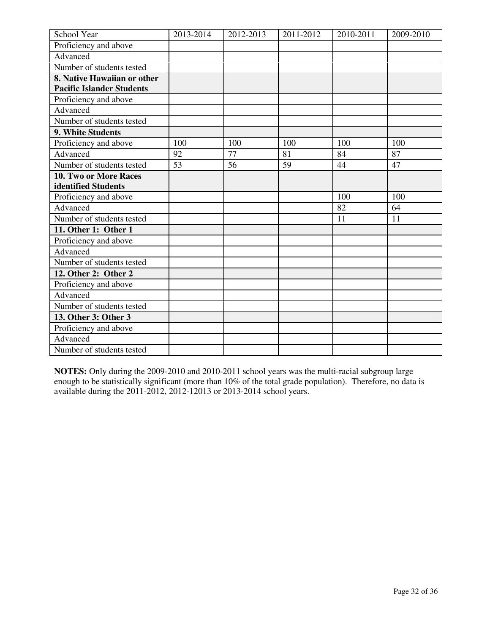| School Year                      | 2013-2014 | 2012-2013 | 2011-2012 | 2010-2011 | 2009-2010 |
|----------------------------------|-----------|-----------|-----------|-----------|-----------|
| Proficiency and above            |           |           |           |           |           |
| Advanced                         |           |           |           |           |           |
| Number of students tested        |           |           |           |           |           |
| 8. Native Hawaiian or other      |           |           |           |           |           |
| <b>Pacific Islander Students</b> |           |           |           |           |           |
| Proficiency and above            |           |           |           |           |           |
| Advanced                         |           |           |           |           |           |
| Number of students tested        |           |           |           |           |           |
| 9. White Students                |           |           |           |           |           |
| Proficiency and above            | 100       | 100       | 100       | 100       | 100       |
| Advanced                         | 92        | 77        | 81        | 84        | 87        |
| Number of students tested        | 53        | 56        | 59        | 44        | 47        |
| 10. Two or More Races            |           |           |           |           |           |
| identified Students              |           |           |           |           |           |
| Proficiency and above            |           |           |           | 100       | 100       |
| Advanced                         |           |           |           | 82        | 64        |
| Number of students tested        |           |           |           | 11        | 11        |
| 11. Other 1: Other 1             |           |           |           |           |           |
| Proficiency and above            |           |           |           |           |           |
| Advanced                         |           |           |           |           |           |
| Number of students tested        |           |           |           |           |           |
| 12. Other 2: Other 2             |           |           |           |           |           |
| Proficiency and above            |           |           |           |           |           |
| Advanced                         |           |           |           |           |           |
| Number of students tested        |           |           |           |           |           |
| 13. Other 3: Other 3             |           |           |           |           |           |
| Proficiency and above            |           |           |           |           |           |
| Advanced                         |           |           |           |           |           |
| Number of students tested        |           |           |           |           |           |

**NOTES:** Only during the 2009-2010 and 2010-2011 school years was the multi-racial subgroup large enough to be statistically significant (more than 10% of the total grade population). Therefore, no data is available during the 2011-2012, 2012-12013 or 2013-2014 school years.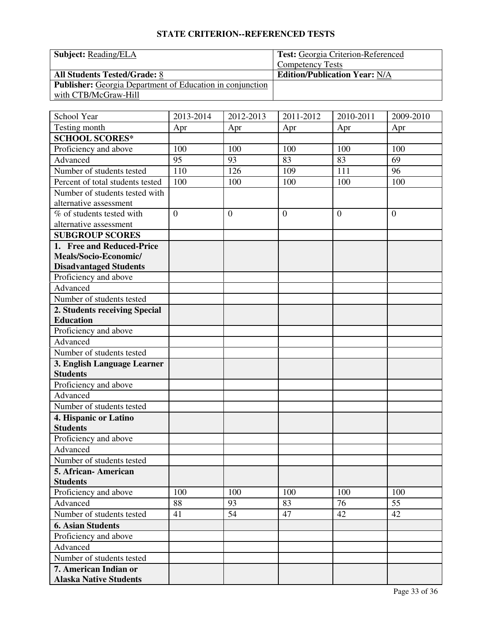| <b>Subject:</b> Reading/ELA                                      | <b>Test:</b> Georgia Criterion-Referenced |
|------------------------------------------------------------------|-------------------------------------------|
|                                                                  | <b>Competency Tests</b>                   |
| <b>All Students Tested/Grade: 8</b>                              | <b>Edition/Publication Year: N/A</b>      |
| <b>Publisher:</b> Georgia Department of Education in conjunction |                                           |
| with CTB/McGraw-Hill                                             |                                           |

| School Year                      | 2013-2014 | 2012-2013      | 2011-2012      | 2010-2011      | $2009 - 2010$  |
|----------------------------------|-----------|----------------|----------------|----------------|----------------|
| Testing month                    | Apr       | Apr            | Apr            | Apr            | Apr            |
| <b>SCHOOL SCORES*</b>            |           |                |                |                |                |
| Proficiency and above            | 100       | 100            | 100            | 100            | 100            |
| Advanced                         | 95        | 93             | 83             | 83             | 69             |
| Number of students tested        | 110       | 126            | 109            | 111            | 96             |
| Percent of total students tested | 100       | 100            | 100            | 100            | 100            |
| Number of students tested with   |           |                |                |                |                |
| alternative assessment           |           |                |                |                |                |
| % of students tested with        | $\theta$  | $\overline{0}$ | $\overline{0}$ | $\overline{0}$ | $\overline{0}$ |
| alternative assessment           |           |                |                |                |                |
| <b>SUBGROUP SCORES</b>           |           |                |                |                |                |
| 1. Free and Reduced-Price        |           |                |                |                |                |
| Meals/Socio-Economic/            |           |                |                |                |                |
| <b>Disadvantaged Students</b>    |           |                |                |                |                |
| Proficiency and above            |           |                |                |                |                |
| Advanced                         |           |                |                |                |                |
| Number of students tested        |           |                |                |                |                |
| 2. Students receiving Special    |           |                |                |                |                |
| <b>Education</b>                 |           |                |                |                |                |
| Proficiency and above            |           |                |                |                |                |
| Advanced                         |           |                |                |                |                |
| Number of students tested        |           |                |                |                |                |
| 3. English Language Learner      |           |                |                |                |                |
| <b>Students</b>                  |           |                |                |                |                |
| Proficiency and above            |           |                |                |                |                |
| Advanced                         |           |                |                |                |                |
| Number of students tested        |           |                |                |                |                |
| 4. Hispanic or Latino            |           |                |                |                |                |
| <b>Students</b>                  |           |                |                |                |                |
| Proficiency and above            |           |                |                |                |                |
| Advanced                         |           |                |                |                |                |
| Number of students tested        |           |                |                |                |                |
| 5. African-American              |           |                |                |                |                |
| <b>Students</b>                  |           |                |                |                |                |
| Proficiency and above            | 100       | 100            | 100            | 100            | 100            |
| Advanced                         | 88        | 93             | 83             | 76             | 55             |
| Number of students tested        | 41        | 54             | 47             | 42             | 42             |
| <b>6. Asian Students</b>         |           |                |                |                |                |
| Proficiency and above            |           |                |                |                |                |
| Advanced                         |           |                |                |                |                |
| Number of students tested        |           |                |                |                |                |
| 7. American Indian or            |           |                |                |                |                |
| <b>Alaska Native Students</b>    |           |                |                |                |                |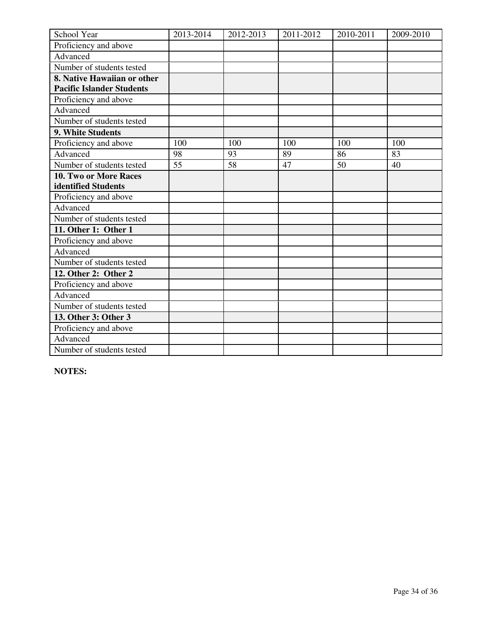| School Year                      | 2013-2014 | 2012-2013 | 2011-2012 | 2010-2011 | 2009-2010 |
|----------------------------------|-----------|-----------|-----------|-----------|-----------|
| Proficiency and above            |           |           |           |           |           |
| Advanced                         |           |           |           |           |           |
| Number of students tested        |           |           |           |           |           |
| 8. Native Hawaiian or other      |           |           |           |           |           |
| <b>Pacific Islander Students</b> |           |           |           |           |           |
| Proficiency and above            |           |           |           |           |           |
| Advanced                         |           |           |           |           |           |
| Number of students tested        |           |           |           |           |           |
| 9. White Students                |           |           |           |           |           |
| Proficiency and above            | 100       | 100       | 100       | 100       | 100       |
| Advanced                         | 98        | 93        | 89        | 86        | 83        |
| Number of students tested        | 55        | 58        | 47        | 50        | 40        |
| 10. Two or More Races            |           |           |           |           |           |
| identified Students              |           |           |           |           |           |
| Proficiency and above            |           |           |           |           |           |
| Advanced                         |           |           |           |           |           |
| Number of students tested        |           |           |           |           |           |
| 11. Other 1: Other 1             |           |           |           |           |           |
| Proficiency and above            |           |           |           |           |           |
| Advanced                         |           |           |           |           |           |
| Number of students tested        |           |           |           |           |           |
| 12. Other 2: Other 2             |           |           |           |           |           |
| Proficiency and above            |           |           |           |           |           |
| Advanced                         |           |           |           |           |           |
| Number of students tested        |           |           |           |           |           |
| 13. Other 3: Other 3             |           |           |           |           |           |
| Proficiency and above            |           |           |           |           |           |
| Advanced                         |           |           |           |           |           |
| Number of students tested        |           |           |           |           |           |

**NOTES:**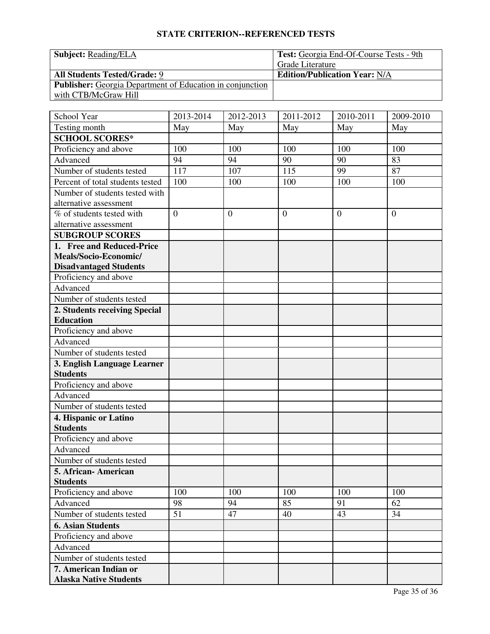| <b>Subject:</b> Reading/ELA                                      | Test: Georgia End-Of-Course Tests - 9th |  |  |
|------------------------------------------------------------------|-----------------------------------------|--|--|
|                                                                  | Grade Literature                        |  |  |
| <b>All Students Tested/Grade: 9</b>                              | <b>Edition/Publication Year: N/A</b>    |  |  |
| <b>Publisher:</b> Georgia Department of Education in conjunction |                                         |  |  |
| with CTB/McGraw Hill                                             |                                         |  |  |

| School Year                      | 2013-2014      | 2012-2013        | $\overline{2011}$ -2012 | 2010-2011      | 2009-2010    |
|----------------------------------|----------------|------------------|-------------------------|----------------|--------------|
| Testing month                    | May            | May              | May                     | May            | May          |
| <b>SCHOOL SCORES*</b>            |                |                  |                         |                |              |
| Proficiency and above            | 100            | 100              | 100                     | 100            | 100          |
| Advanced                         | 94             | 94               | 90                      | 90             | 83           |
| Number of students tested        | 117            | 107              | 115                     | 99             | 87           |
| Percent of total students tested | 100            | 100              | 100                     | 100            | 100          |
| Number of students tested with   |                |                  |                         |                |              |
| alternative assessment           |                |                  |                         |                |              |
| % of students tested with        | $\overline{0}$ | $\boldsymbol{0}$ | $\overline{0}$          | $\overline{0}$ | $\mathbf{0}$ |
| alternative assessment           |                |                  |                         |                |              |
| <b>SUBGROUP SCORES</b>           |                |                  |                         |                |              |
| 1. Free and Reduced-Price        |                |                  |                         |                |              |
| Meals/Socio-Economic/            |                |                  |                         |                |              |
| <b>Disadvantaged Students</b>    |                |                  |                         |                |              |
| Proficiency and above            |                |                  |                         |                |              |
| Advanced                         |                |                  |                         |                |              |
| Number of students tested        |                |                  |                         |                |              |
| 2. Students receiving Special    |                |                  |                         |                |              |
| <b>Education</b>                 |                |                  |                         |                |              |
| Proficiency and above            |                |                  |                         |                |              |
| Advanced                         |                |                  |                         |                |              |
| Number of students tested        |                |                  |                         |                |              |
| 3. English Language Learner      |                |                  |                         |                |              |
| <b>Students</b>                  |                |                  |                         |                |              |
| Proficiency and above            |                |                  |                         |                |              |
| Advanced                         |                |                  |                         |                |              |
| Number of students tested        |                |                  |                         |                |              |
| 4. Hispanic or Latino            |                |                  |                         |                |              |
| <b>Students</b>                  |                |                  |                         |                |              |
| Proficiency and above            |                |                  |                         |                |              |
| Advanced                         |                |                  |                         |                |              |
| Number of students tested        |                |                  |                         |                |              |
| 5. African-American              |                |                  |                         |                |              |
| <b>Students</b>                  |                |                  |                         |                |              |
| Proficiency and above            | 100            | 100              | 100                     | 100            | 100          |
| Advanced                         | 98             | 94               | 85                      | 91             | 62           |
| Number of students tested        | 51             | 47               | 40                      | 43             | 34           |
| <b>6. Asian Students</b>         |                |                  |                         |                |              |
| Proficiency and above            |                |                  |                         |                |              |
| Advanced                         |                |                  |                         |                |              |
| Number of students tested        |                |                  |                         |                |              |
| 7. American Indian or            |                |                  |                         |                |              |
| <b>Alaska Native Students</b>    |                |                  |                         |                |              |